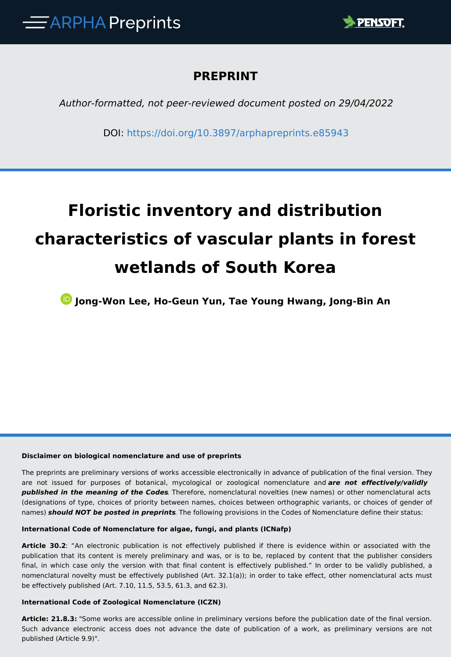

# **PREPRINT**

*Author-formatted, not peer-reviewed document posted on 29/04/2022*

DOI:<https://doi.org/10.3897/arphapreprints.e85943>

# **Floristic inventory and distribution characteristics of vascular plants in forest wetlands of South Korea**

**Jong-Won Lee, Ho-Geun Yun, Tae Young Hwang, Jong-Bin An**

#### **Disclaimer on biological nomenclature and use of preprints**

The preprints are preliminary versions of works accessible electronically in advance of publication of the final version. They are not issued for purposes of botanical, mycological or zoological nomenclature and *are not effectively/validly published in the meaning of the Codes*. Therefore, nomenclatural novelties (new names) or other nomenclatural acts (designations of type, choices of priority between names, choices between orthographic variants, or choices of gender of names) *should NOT be posted in preprints*. The following provisions in the Codes of Nomenclature define their status:

#### **International Code of Nomenclature for algae, fungi, and plants (ICNafp)**

**Article 30.2**: "An electronic publication is not effectively published if there is evidence within or associated with the publication that its content is merely preliminary and was, or is to be, replaced by content that the publisher considers final, in which case only the version with that final content is effectively published." In order to be validly published, a nomenclatural novelty must be effectively published (Art. 32.1(a)); in order to take effect, other nomenclatural acts must be effectively published (Art. 7.10, 11.5, 53.5, 61.3, and 62.3).

#### **International Code of Zoological Nomenclature (ICZN)**

**Article: 21.8.3:** "Some works are accessible online in preliminary versions before the publication date of the final version. Such advance electronic access does not advance the date of publication of a work, as preliminary versions are not published (Article 9.9)".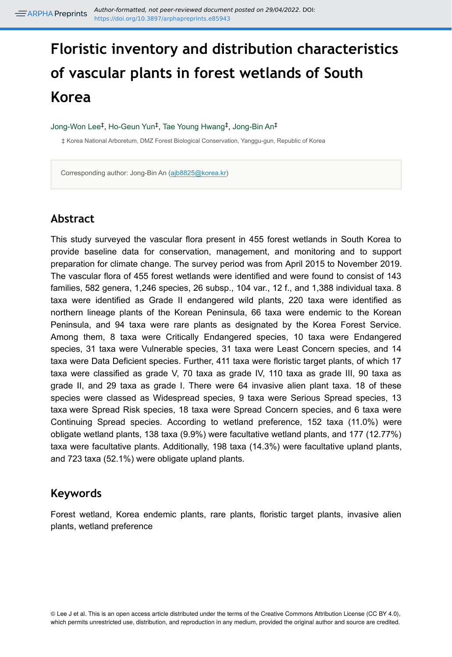# **Floristic inventory and distribution characteristics of vascular plants in forest wetlands of South Korea**

Jong-Won Lee<sup>‡</sup>, Ho-Geun Yun<sup>‡</sup>, Tae Young Hwang<sup>‡</sup>, Jong-Bin An<sup>‡</sup>

‡ Korea National Arboretum, DMZ Forest Biological Conservation, Yanggu-gun, Republic of Korea

Corresponding author: Jong-Bin An ([ajb8825@korea.kr\)](mailto:ajb8825@korea.kr)

# **Abstract**

This study surveyed the vascular flora present in 455 forest wetlands in South Korea to provide baseline data for conservation, management, and monitoring and to support preparation for climate change. The survey period was from April 2015 to November 2019. The vascular flora of 455 forest wetlands were identified and were found to consist of 143 families, 582 genera, 1,246 species, 26 subsp., 104 var., 12 f., and 1,388 individual taxa. 8 taxa were identified as Grade II endangered wild plants, 220 taxa were identified as northern lineage plants of the Korean Peninsula, 66 taxa were endemic to the Korean Peninsula, and 94 taxa were rare plants as designated by the Korea Forest Service. Among them, 8 taxa were Critically Endangered species, 10 taxa were Endangered species, 31 taxa were Vulnerable species, 31 taxa were Least Concern species, and 14 taxa were Data Deficient species. Further, 411 taxa were floristic target plants, of which 17 taxa were classified as grade V, 70 taxa as grade IV, 110 taxa as grade III, 90 taxa as grade II, and 29 taxa as grade I. There were 64 invasive alien plant taxa. 18 of these species were classed as Widespread species, 9 taxa were Serious Spread species, 13 taxa were Spread Risk species, 18 taxa were Spread Concern species, and 6 taxa were Continuing Spread species. According to wetland preference, 152 taxa (11.0%) were obligate wetland plants, 138 taxa (9.9%) were facultative wetland plants, and 177 (12.77%) taxa were facultative plants. Additionally, 198 taxa (14.3%) were facultative upland plants, and 723 taxa (52.1%) were obligate upland plants.

## **Keywords**

Forest wetland, Korea endemic plants, rare plants, floristic target plants, invasive alien plants, wetland preference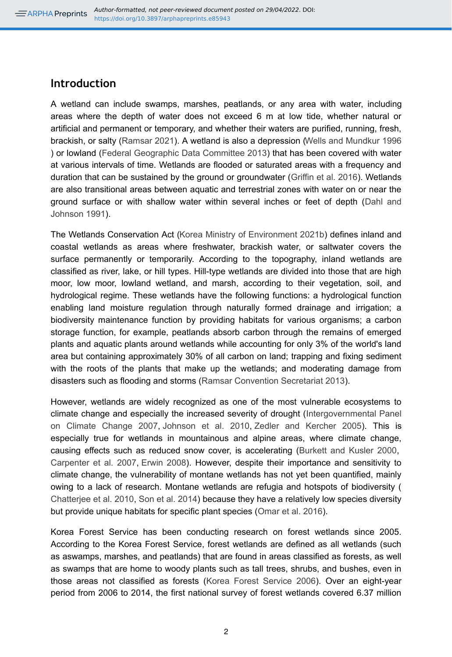## **Introduction**

A wetland can include swamps, marshes, peatlands, or any area with water, including areas where the depth of water does not exceed 6 m at low tide, whether natural or artificial and permanent or temporary, and whether their waters are purified, running, fresh, brackish, or salty ([Ramsar 2021](#page-21-0)). A wetland is also a depression [\(Wells and Mundkur 1996](#page-22-0) ) or lowland [\(Federal Geographic Data Committee 2013](#page-20-0)) that has been covered with water at various intervals of time. Wetlands are flooded or saturated areas with a frequency and duration that can be sustained by the ground or groundwater ([Griffin et al. 2016\)](#page-20-1). Wetlands are also transitional areas between aquatic and terrestrial zones with water on or near the ground surface or with shallow water within several inches or feet of depth [\(Dahl and](#page-20-2) [Johnson 1991\)](#page-20-2).

The Wetlands Conservation Act ([Korea Ministry of Environment 2021b](#page-21-1)) defines inland and coastal wetlands as areas where freshwater, brackish water, or saltwater covers the surface permanently or temporarily. According to the topography, inland wetlands are classified as river, lake, or hill types. Hill-type wetlands are divided into those that are high moor, low moor, lowland wetland, and marsh, according to their vegetation, soil, and hydrological regime. These wetlands have the following functions: a hydrological function enabling land moisture regulation through naturally formed drainage and irrigation; a biodiversity maintenance function by providing habitats for various organisms; a carbon storage function, for example, peatlands absorb carbon through the remains of emerged plants and aquatic plants around wetlands while accounting for only 3% of the world's land area but containing approximately 30% of all carbon on land; trapping and fixing sediment with the roots of the plants that make up the wetlands; and moderating damage from disasters such as flooding and storms ([Ramsar Convention Secretariat 2013\)](#page-21-2).

However, wetlands are widely recognized as one of the most vulnerable ecosystems to climate change and especially the increased severity of drought ([Intergovernmental Panel](#page-20-3) [on Climate Change 2007](#page-20-3), [Johnson et al. 2010](#page-20-4), [Zedler and Kercher 2005\)](#page-22-1). This is especially true for wetlands in mountainous and alpine areas, where climate change, causing effects such as reduced snow cover, is accelerating [\(Burkett and Kusler 2000](#page-19-0), [Carpenter et al. 2007](#page-19-1), [Erwin 2008\)](#page-20-5). However, despite their importance and sensitivity to climate change, the vulnerability of montane wetlands has not yet been quantified, mainly owing to a lack of research. Montane wetlands are refugia and hotspots of biodiversity ( [Chatterjee et al. 2010,](#page-19-2) [Son et al. 2014](#page-22-2)) because they have a relatively low species diversity but provide unique habitats for specific plant species ([Omar et al. 2016\)](#page-21-3).

Korea Forest Service has been conducting research on forest wetlands since 2005. According to the Korea Forest Service, forest wetlands are defined as all wetlands (such as aswamps, marshes, and peatlands) that are found in areas classified as forests, as well as swamps that are home to woody plants such as tall trees, shrubs, and bushes, even in those areas not classified as forests [\(Korea Forest Service 2006\)](#page-21-4). Over an eight-year period from 2006 to 2014, the first national survey of forest wetlands covered 6.37 million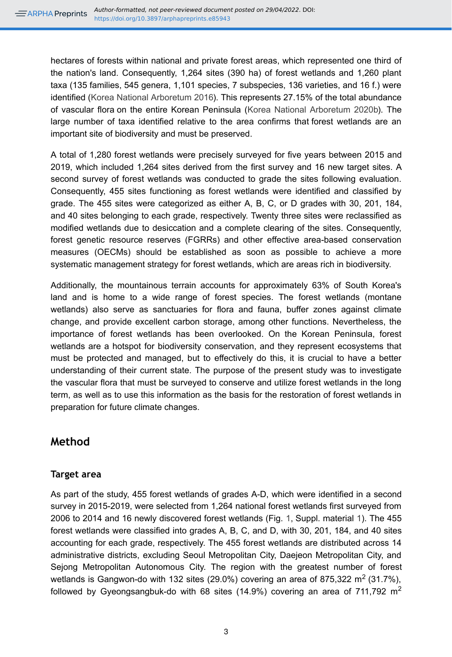hectares of forests within national and private forest areas, which represented one third of the nation's land. Consequently, 1,264 sites (390 ha) of forest wetlands and 1,260 plant taxa (135 families, 545 genera, 1,101 species, 7 subspecies, 136 varieties, and 16 f.) were identified [\(Korea National Arboretum 2016](#page-21-5)). This represents 27.15% of the total abundance of vascular flora on the entire Korean Peninsula ([Korea National Arboretum 2020b\)](#page-21-6). The large number of taxa identified relative to the area confirms that forest wetlands are an important site of biodiversity and must be preserved.

A total of 1,280 forest wetlands were precisely surveyed for five years between 2015 and 2019, which included 1,264 sites derived from the first survey and 16 new target sites. A second survey of forest wetlands was conducted to grade the sites following evaluation. Consequently, 455 sites functioning as forest wetlands were identified and classified by grade. The 455 sites were categorized as either A, B, C, or D grades with 30, 201, 184, and 40 sites belonging to each grade, respectively. Twenty three sites were reclassified as modified wetlands due to desiccation and a complete clearing of the sites. Consequently, forest genetic resource reserves (FGRRs) and other effective area-based conservation measures (OECMs) should be established as soon as possible to achieve a more systematic management strategy for forest wetlands, which are areas rich in biodiversity.

Additionally, the mountainous terrain accounts for approximately 63% of South Korea's land and is home to a wide range of forest species. The forest wetlands (montane wetlands) also serve as sanctuaries for flora and fauna, buffer zones against climate change, and provide excellent carbon storage, among other functions. Nevertheless, the importance of forest wetlands has been overlooked. On the Korean Peninsula, forest wetlands are a hotspot for biodiversity conservation, and they represent ecosystems that must be protected and managed, but to effectively do this, it is crucial to have a better understanding of their current state. The purpose of the present study was to investigate the vascular flora that must be surveyed to conserve and utilize forest wetlands in the long term, as well as to use this information as the basis for the restoration of forest wetlands in preparation for future climate changes.

# **Method**

## **Target area**

As part of the study, 455 forest wetlands of grades A-D, which were identified in a second survey in 2015-2019, were selected from 1,264 national forest wetlands first surveyed from 2006 to 2014 and 16 newly discovered forest wetlands (Fig. [1,](#page-23-0) Suppl. material [1\)](#page-28-0). The 455 forest wetlands were classified into grades A, B, C, and D, with 30, 201, 184, and 40 sites accounting for each grade, respectively. The 455 forest wetlands are distributed across 14 administrative districts, excluding Seoul Metropolitan City, Daejeon Metropolitan City, and Sejong Metropolitan Autonomous City. The region with the greatest number of forest wetlands is Gangwon-do with 132 sites (29.0%) covering an area of 875,322 m<sup>2</sup> (31.7%), followed by Gyeongsangbuk-do with 68 sites (14.9%) covering an area of 711,792  $m^2$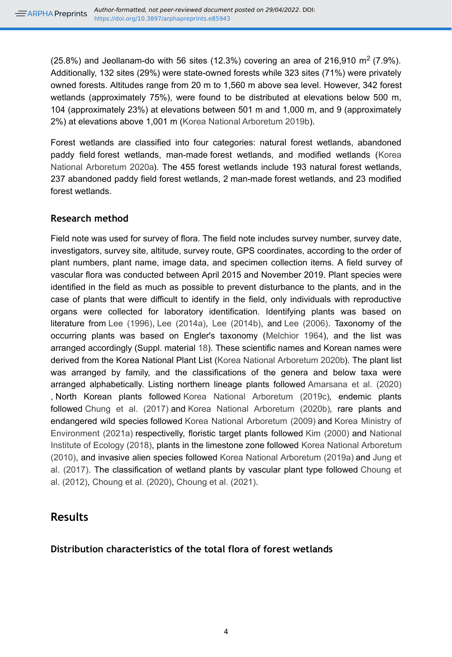(25.8%) and Jeollanam-do with 56 sites (12.3%) covering an area of 216,910 m<sup>2</sup> (7.9%). Additionally, 132 sites (29%) were state-owned forests while 323 sites (71%) were privately owned forests. Altitudes range from 20 m to 1,560 m above sea level. However, 342 forest wetlands (approximately 75%), were found to be distributed at elevations below 500 m, 104 (approximately 23%) at elevations between 501 m and 1,000 m, and 9 (approximately 2%) at elevations above 1,001 m ([Korea National Arboretum 2019b](#page-21-7)).

Forest wetlands are classified into four categories: natural forest wetlands, abandoned paddy field forest wetlands, man-made forest wetlands, and modified wetlands [\(Korea](#page-21-8) [National Arboretum 2020a\)](#page-21-8). The 455 forest wetlands include 193 natural forest wetlands, 237 abandoned paddy field forest wetlands, 2 man-made forest wetlands, and 23 modified forest wetlands.

## **Research method**

Field note was used for survey of flora. The field note includes survey number, survey date, investigators, survey site, altitude, survey route, GPS coordinates, according to the order of plant numbers, plant name, image data, and specimen collection items. A field survey of vascular flora was conducted between April 2015 and November 2019. Plant species were identified in the field as much as possible to prevent disturbance to the plants, and in the case of plants that were difficult to identify in the field, only individuals with reproductive organs were collected for laboratory identification. Identifying plants was based on literature from [Lee \(1996\)](#page-21-9), [Lee \(2014a\),](#page-21-10) [Lee \(2014b\),](#page-21-11) and [Lee \(2006\)](#page-21-12). Taxonomy of the occurring plants was based on Engler's taxonomy ([Melchior 1964](#page-21-13)), and the list was arranged accordingly (Suppl. material [18\)](#page-30-0). These scientific names and Korean names were derived from the Korea National Plant List ([Korea National Arboretum 2020b](#page-21-6)). The plant list was arranged by family, and the classifications of the genera and below taxa were arranged alphabetically. Listing northern lineage plants followed [Amarsana et al. \(2020\)](#page-19-3) , North Korean plants followed [Korea National Arboretum \(2019c\)](#page-21-14), endemic plants followed [Chung et al. \(2017\)](#page-20-6) and [Korea National Arboretum \(2020b\),](#page-21-6) rare plants and endangered wild species followed [Korea National Arboretum \(2009\)](#page-21-15) and [Korea Ministry of](#page-21-16) [Environment \(2021a\)](#page-21-16) respectivelly, floristic target plants followed [Kim \(2000\)](#page-20-7) and [National](#page-21-17) [Institute of Ecology \(2018\)](#page-21-17), plants in the limestone zone followed [Korea National Arboretum](#page-21-18) [\(2010\)](#page-21-18), and invasive alien species followed [Korea National Arboretum \(2019a\)](#page-21-19) and [Jung et](#page-20-8) [al. \(2017\)](#page-20-8). The classification of wetland plants by vascular plant type followed [Choung et](#page-20-9) [al. \(2012\)](#page-20-9), [Choung et al. \(2020\),](#page-20-10) [Choung et al. \(2021\).](#page-20-11)

# **Results**

## **Distribution characteristics of the total flora of forest wetlands**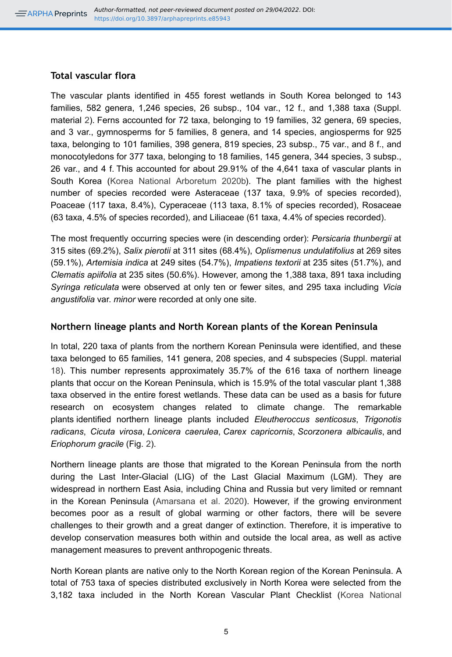## **Total vascular flora**

The vascular plants identified in 455 forest wetlands in South Korea belonged to 143 families, 582 genera, 1,246 species, 26 subsp., 104 var., 12 f., and 1,388 taxa (Suppl. material [2\)](#page-28-1). Ferns accounted for 72 taxa, belonging to 19 families, 32 genera, 69 species, and 3 var., gymnosperms for 5 families, 8 genera, and 14 species, angiosperms for 925 taxa, belonging to 101 families, 398 genera, 819 species, 23 subsp., 75 var., and 8 f., and monocotyledons for 377 taxa, belonging to 18 families, 145 genera, 344 species, 3 subsp., 26 var., and 4 f. This accounted for about 29.91% of the 4,641 taxa of vascular plants in South Korea ([Korea National Arboretum 2020b\)](#page-21-6). The plant families with the highest number of species recorded were Asteraceae (137 taxa, 9.9% of species recorded), Poaceae (117 taxa, 8.4%), Cyperaceae (113 taxa, 8.1% of species recorded), Rosaceae (63 taxa, 4.5% of species recorded), and Liliaceae (61 taxa, 4.4% of species recorded).

The most frequently occurring species were (in descending order): *Persicaria thunbergii* at 315 sites (69.2%), *Salix pierotii* at 311 sites (68.4%), *Oplismenus undulatifolius* at 269 sites (59.1%), *Artemisia indica* at 249 sites (54.7%), *Impatiens textorii* at 235 sites (51.7%), and *Clematis apiifolia* at 235 sites (50.6%). However, among the 1,388 taxa, 891 taxa including *Syringa reticulata* were observed at only ten or fewer sites, and 295 taxa including *Vicia angustifolia* var. *minor* were recorded at only one site.

## **Northern lineage plants and North Korean plants of the Korean Peninsula**

In total, 220 taxa of plants from the northern Korean Peninsula were identified, and these taxa belonged to 65 families, 141 genera, 208 species, and 4 subspecies (Suppl. material [18](#page-30-0)). This number represents approximately 35.7% of the 616 taxa of northern lineage plants that occur on the Korean Peninsula, which is 15.9% of the total vascular plant 1,388 taxa observed in the entire forest wetlands. These data can be used as a basis for future research on ecosystem changes related to climate change. The remarkable plants identified northern lineage plants included *Eleutheroccus senticosus*, *Trigonotis radicans*, *Cicuta virosa*, *Lonicera caerulea*, *Carex capricornis*, *Scorzonera albicaulis*, and *Eriophorum gracile* (Fig. [2\)](#page-24-0).

Northern lineage plants are those that migrated to the Korean Peninsula from the north during the Last Inter-Glacial (LIG) of the Last Glacial Maximum (LGM). They are widespread in northern East Asia, including China and Russia but very limited or remnant in the Korean Peninsula ([Amarsana et al. 2020](#page-19-3)). However, if the growing environment becomes poor as a result of global warming or other factors, there will be severe challenges to their growth and a great danger of extinction. Therefore, it is imperative to develop conservation measures both within and outside the local area, as well as active management measures to prevent anthropogenic threats.

North Korean plants are native only to the North Korean region of the Korean Peninsula. A total of 753 taxa of species distributed exclusively in North Korea were selected from the 3,182 taxa included in the North Korean Vascular Plant Checklist ([Korea National](#page-21-14)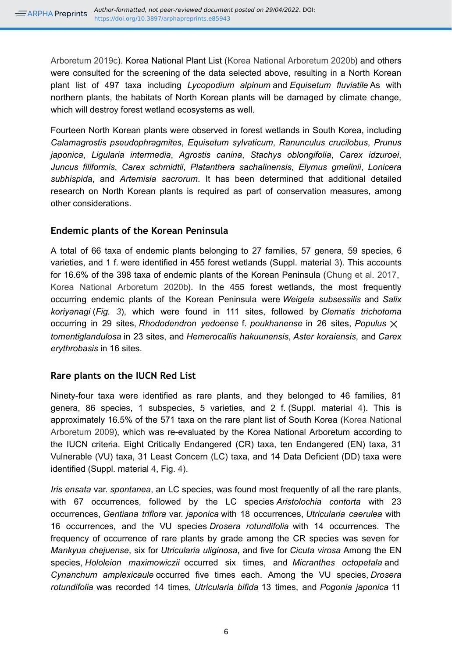[Arboretum 2019c\)](#page-21-14). Korea National Plant List [\(Korea National Arboretum 2020b\)](#page-21-6) and others were consulted for the screening of the data selected above, resulting in a North Korean plant list of 497 taxa including *Lycopodium alpinum* and *Equisetum fluviatile* As with northern plants, the habitats of North Korean plants will be damaged by climate change, which will destroy forest wetland ecosystems as well.

Fourteen North Korean plants were observed in forest wetlands in South Korea, including *Calamagrostis pseudophragmites*, *Equisetum sylvaticum*, *Ranunculus crucilobus*, *Prunus japonica*, *Ligularia intermedia*, *Agrostis canina*, *Stachys oblongifolia*, *Carex idzuroei*, *Juncus filiformis*, *Carex schmidtii*, *Platanthera sachalinensis*, *Elymus gmelinii*, *Lonicera subhispida*, and *Artemisia sacrorum*. It has been determined that additional detailed research on North Korean plants is required as part of conservation measures, among other considerations.

## **Endemic plants of the Korean Peninsula**

A total of 66 taxa of endemic plants belonging to 27 families, 57 genera, 59 species, 6 varieties, and 1 f. were identified in 455 forest wetlands (Suppl. material [3\)](#page-28-2). This accounts for 16.6% of the 398 taxa of endemic plants of the Korean Peninsula ([Chung et al. 2017](#page-20-6), [Korea National Arboretum 2020b](#page-21-6)). In the 455 forest wetlands, the most frequently occurring endemic plants of the Korean Peninsula were *Weigela subsessilis* and *Salix koriyanagi* (*Fig. [3](#page-25-0)*), which were found in 111 sites, followed by *Clematis trichotoma* occurring in 29 sites, *Rhododendron yedoense* f. *poukhanense* in 26 sites, *Populus* ⨉ *tomentiglandulosa* in 23 sites, and *Hemerocallis hakuunensis*, *Aster koraiensis*, and *Carex erythrobasis* in 16 sites.

## **Rare plants on the IUCN Red List**

Ninety-four taxa were identified as rare plants, and they belonged to 46 families, 81 genera, 86 species, 1 subspecies, 5 varieties, and 2 f. (Suppl. material [4](#page-28-3)). This is approximately 16.5% of the 571 taxa on the rare plant list of South Korea ([Korea National](#page-21-15) [Arboretum 2009](#page-21-15)), which was re-evaluated by the Korea National Arboretum according to the IUCN criteria. Eight Critically Endangered (CR) taxa, ten Endangered (EN) taxa, 31 Vulnerable (VU) taxa, 31 Least Concern (LC) taxa, and 14 Data Deficient (DD) taxa were identified (Suppl. material [4,](#page-28-3) Fig. [4](#page-26-0)).

*Iris ensata* var. *spontanea*, an LC species, was found most frequently of all the rare plants, with 67 occurrences, followed by the LC species *Aristolochia contorta* with 23 occurrences, *Gentiana triflora* var. *japonica* with 18 occurrences, *Utricularia caerulea* with 16 occurrences, and the VU species *Drosera rotundifolia* with 14 occurrences. The frequency of occurrence of rare plants by grade among the CR species was seven for *Mankyua chejuense*, six for *Utricularia uliginosa*, and five for *Cicuta virosa* Among the EN species, *Hololeion maximowiczii* occurred six times, and *Micranthes octopetala* and *Cynanchum amplexicaule* occurred five times each. Among the VU species, *Drosera rotundifolia* was recorded 14 times, *Utricularia bifida* 13 times, and *Pogonia japonica* 11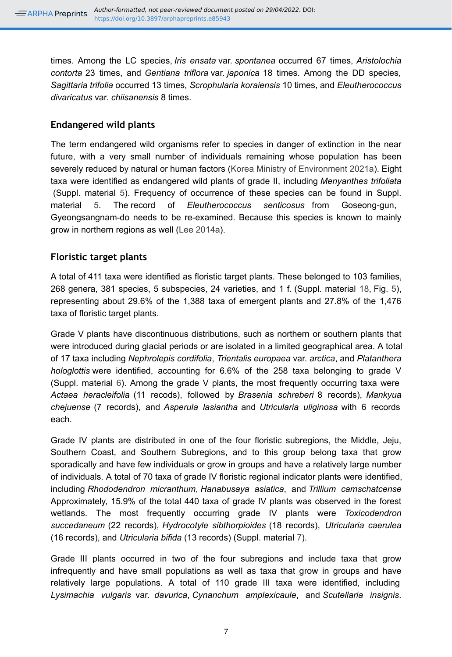times. Among the LC species, *Iris ensata* var. *spontanea* occurred 67 times, *Aristolochia contorta* 23 times, and *Gentiana triflora* var. *japonica* 18 times. Among the DD species, *Sagittaria trifolia* occurred 13 times, *Scrophularia koraiensis* 10 times, and *Eleutherococcus divaricatus* var. *chiisanensis* 8 times.

## **Endangered wild plants**

The term endangered wild organisms refer to species in danger of extinction in the near future, with a very small number of individuals remaining whose population has been severely reduced by natural or human factors ([Korea Ministry of Environment 2021a\)](#page-21-16). Eight taxa were identified as endangered wild plants of grade II, including *Menyanthes trifoliata* (Suppl. material [5\)](#page-28-4). Frequency of occurrence of these species can be found in Suppl. material [5](#page-28-4). The record of *Eleutherococcus senticosus* from Goseong-gun, Gyeongsangnam-do needs to be re-examined. Because this species is known to mainly grow in northern regions as well ([Lee 2014a\)](#page-21-10).

## **Floristic target plants**

A total of 411 taxa were identified as floristic target plants. These belonged to 103 families, 268 genera, 381 species, 5 subspecies, 24 varieties, and 1 f. (Suppl. material [18,](#page-30-0) Fig. [5\)](#page-27-0), representing about 29.6% of the 1,388 taxa of emergent plants and 27.8% of the 1,476 taxa of floristic target plants.

Grade V plants have discontinuous distributions, such as northern or southern plants that were introduced during glacial periods or are isolated in a limited geographical area. A total of 17 taxa including *Nephrolepis cordifolia*, *Trientalis europaea* var. *arctica*, and *Platanthera hologlottis* were identified, accounting for 6.6% of the 258 taxa belonging to grade V (Suppl. material [6](#page-28-5)). Among the grade V plants, the most frequently occurring taxa were *Actaea heracleifolia* (11 recods), followed by *Brasenia schreberi* 8 records), *Mankyua chejuense* (7 records), and *Asperula lasiantha* and *Utricularia uliginosa* with 6 records each.

Grade IV plants are distributed in one of the four floristic subregions, the Middle, Jeju, Southern Coast, and Southern Subregions, and to this group belong taxa that grow sporadically and have few individuals or grow in groups and have a relatively large number of individuals. A total of 70 taxa of grade IV floristic regional indicator plants were identified, including *Rhododendron micranthum*, *Hanabusaya asiatica*, and *Trillium camschatcense* Approximately, 15.9% of the total 440 taxa of grade IV plants was observed in the forest wetlands. The most frequently occurring grade IV plants were *Toxicodendron succedaneum* (22 records), *Hydrocotyle sibthorpioides* (18 records), *Utricularia caerulea* (16 records), and *Utricularia bifida* (13 records) (Suppl. material [7](#page-28-6)).

Grade III plants occurred in two of the four subregions and include taxa that grow infrequently and have small populations as well as taxa that grow in groups and have relatively large populations. A total of 110 grade III taxa were identified, including *Lysimachia vulgaris* var. *davurica*, *Cynanchum amplexicaule*, and *Scutellaria insignis*.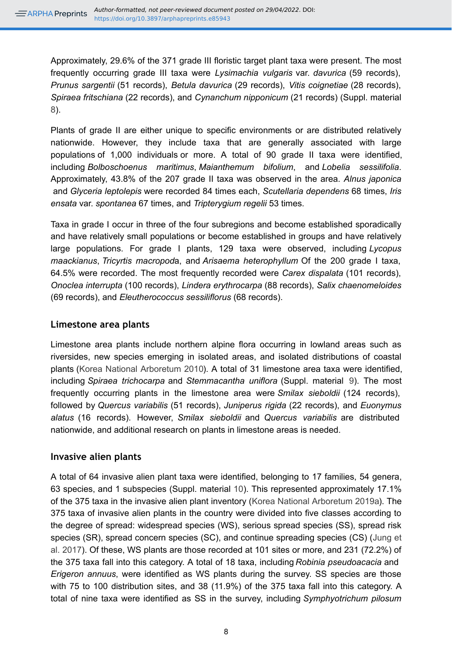Approximately, 29.6% of the 371 grade III floristic target plant taxa were present. The most frequently occurring grade III taxa were *Lysimachia vulgaris* var. *davurica* (59 records), *Prunus sargentii* (51 records), *Betula davurica* (29 records), *Vitis coignetiae* (28 records), *Spiraea fritschiana* (22 records), and *Cynanchum nipponicum* (21 records) (Suppl. material [8](#page-28-7)).

Plants of grade II are either unique to specific environments or are distributed relatively nationwide. However, they include taxa that are generally associated with large populations of 1,000 individuals or more. A total of 90 grade II taxa were identified, including *Bolboschoenus maritimus*, *Maianthemum bifolium*, and *Lobelia sessilifolia*. Approximately, 43.8% of the 207 grade II taxa was observed in the area. *Alnus japonica* and *Glyceria leptolepis* were recorded 84 times each, *Scutellaria dependens* 68 times, *Iris ensata* var. *spontanea* 67 times, and *Tripterygium regelii* 53 times.

Taxa in grade I occur in three of the four subregions and become established sporadically and have relatively small populations or become established in groups and have relatively large populations. For grade I plants, 129 taxa were observed, including *Lycopus maackianus*, *Tricyrtis macropod*a, and *Arisaema heterophyllum* Of the 200 grade I taxa, 64.5% were recorded. The most frequently recorded were *Carex dispalata* (101 records), *Onoclea interrupta* (100 records), *Lindera erythrocarpa* (88 records), *Salix chaenomeloides* (69 records), and *Eleutherococcus sessiliflorus* (68 records).

## **Limestone area plants**

Limestone area plants include northern alpine flora occurring in lowland areas such as riversides, new species emerging in isolated areas, and isolated distributions of coastal plants ([Korea National Arboretum 2010](#page-21-18)). A total of 31 limestone area taxa were identified, including *Spiraea trichocarpa* and *Stemmacantha uniflora* (Suppl. material [9\)](#page-29-0). The most frequently occurring plants in the limestone area were *Smilax sieboldii* (124 records), followed by *Quercus variabilis* (51 records), *Juniperus rigida* (22 records), and *Euonymus alatus* (16 records). However, *Smilax sieboldii* and *Quercus variabilis* are distributed nationwide, and additional research on plants in limestone areas is needed.

## **Invasive alien plants**

A total of 64 invasive alien plant taxa were identified, belonging to 17 families, 54 genera, 63 species, and 1 subspecies (Suppl. material [10\)](#page-29-1). This represented approximately 17.1% of the 375 taxa in the invasive alien plant inventory [\(Korea National Arboretum 2019a\)](#page-21-19). The 375 taxa of invasive alien plants in the country were divided into five classes according to the degree of spread: widespread species (WS), serious spread species (SS), spread risk species (SR), spread concern species (SC), and continue spreading species (CS) ([Jung et](#page-20-8) [al. 2017\)](#page-20-8). Of these, WS plants are those recorded at 101 sites or more, and 231 (72.2%) of the 375 taxa fall into this category. A total of 18 taxa, including *Robinia pseudoacacia* and *Erigeron annuus*, were identified as WS plants during the survey. SS species are those with 75 to 100 distribution sites, and 38 (11.9%) of the 375 taxa fall into this category. A total of nine taxa were identified as SS in the survey, including *Symphyotrichum pilosum*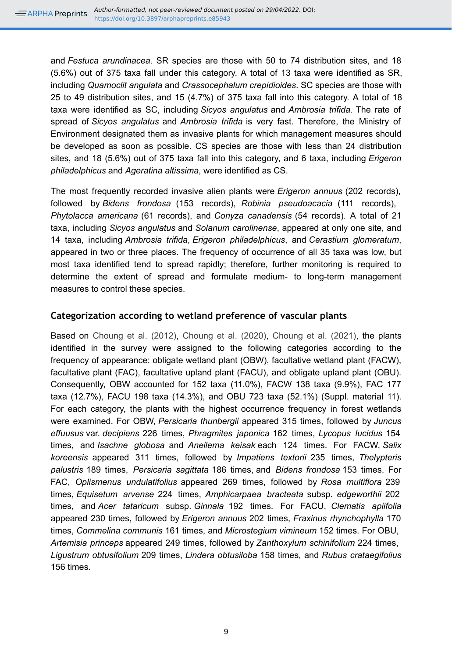and *Festuca arundinacea*. SR species are those with 50 to 74 distribution sites, and 18 (5.6%) out of 375 taxa fall under this category. A total of 13 taxa were identified as SR, including *Quamoclit angulata* and *Crassocephalum crepidioides*. SC species are those with 25 to 49 distribution sites, and 15 (4.7%) of 375 taxa fall into this category. A total of 18 taxa were identified as SC, including *Sicyos angulatus* and *Ambrosia trifida.* The rate of spread of *Sicyos angulatus* and *Ambrosia trifida* is very fast. Therefore, the Ministry of Environment designated them as invasive plants for which management measures should be developed as soon as possible. CS species are those with less than 24 distribution sites, and 18 (5.6%) out of 375 taxa fall into this category, and 6 taxa, including *Erigeron philadelphicus* and *Ageratina altissima*, were identified as CS.

The most frequently recorded invasive alien plants were *Erigeron annuus* (202 records), followed by *Bidens frondosa* (153 records), *Robinia pseudoacacia* (111 records), *Phytolacca americana* (61 records), and *Conyza canadensis* (54 records). A total of 21 taxa, including *Sicyos angulatus* and *Solanum carolinense*, appeared at only one site, and 14 taxa, including *Ambrosia trifida*, *Erigeron philadelphicus*, and *Cerastium glomeratum*, appeared in two or three places. The frequency of occurrence of all 35 taxa was low, but most taxa identified tend to spread rapidly; therefore, further monitoring is required to determine the extent of spread and formulate medium- to long-term management measures to control these species.

## **Categorization according to wetland preference of vascular plants**

Based on [Choung et al. \(2012\)](#page-20-9), [Choung et al. \(2020\)](#page-20-10), [Choung et al. \(2021\)](#page-20-11), the plants identified in the survey were assigned to the following categories according to the frequency of appearance: obligate wetland plant (OBW), facultative wetland plant (FACW), facultative plant (FAC), facultative upland plant (FACU), and obligate upland plant (OBU). Consequently, OBW accounted for 152 taxa (11.0%), FACW 138 taxa (9.9%), FAC 177 taxa (12.7%), FACU 198 taxa (14.3%), and OBU 723 taxa (52.1%) (Suppl. material [11\)](#page-29-2). For each category, the plants with the highest occurrence frequency in forest wetlands were examined. For OBW, *Persicaria thunbergii* appeared 315 times, followed by *Juncus effuusus* var. *decipiens* 226 times, *Phragmites japonica* 162 times, *Lycopus lucidus* 154 times, and *Isachne globosa* and *Aneilema keisak* each 124 times. For FACW, *Salix koreensis* appeared 311 times, followed by *Impatiens textorii* 235 times, *Thelypteris palustris* 189 times, *Persicaria sagittata* 186 times, and *Bidens frondosa* 153 times. For FAC, *Oplismenus undulatifolius* appeared 269 times, followed by *Rosa multiflora* 239 times, *Equisetum arvense* 224 times, *Amphicarpaea bracteata* subsp. *edgeworthii* 202 times, and *Acer tataricum* subsp. *Ginnala* 192 times. For FACU, *Clematis apiifolia* appeared 230 times, followed by *Erigeron annuus* 202 times, *Fraxinus rhynchophylla* 170 times, *Commelina communis* 161 times, and *Microstegium vimineum* 152 times. For OBU, *Artemisia princeps* appeared 249 times, followed by *Zanthoxylum schinifolium* 224 times, *Ligustrum obtusifolium* 209 times, *Lindera obtusiloba* 158 times, and *Rubus crataegifolius* 156 times.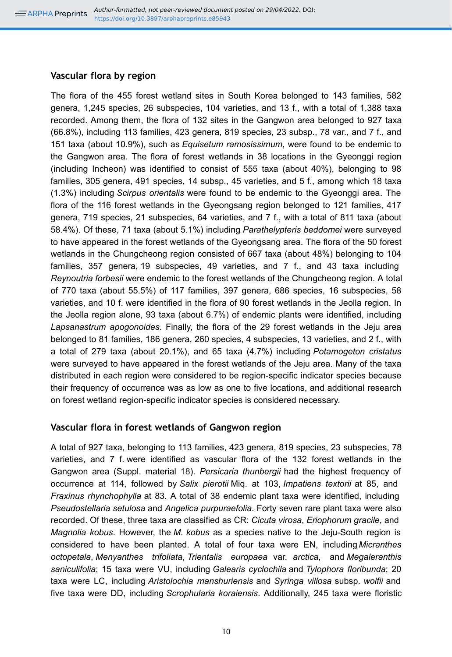#### **Vascular flora by region**

The flora of the 455 forest wetland sites in South Korea belonged to 143 families, 582 genera, 1,245 species, 26 subspecies, 104 varieties, and 13 f., with a total of 1,388 taxa recorded. Among them, the flora of 132 sites in the Gangwon area belonged to 927 taxa (66.8%), including 113 families, 423 genera, 819 species, 23 subsp., 78 var., and 7 f., and 151 taxa (about 10.9%), such as *Equisetum ramosissimum*, were found to be endemic to the Gangwon area. The flora of forest wetlands in 38 locations in the Gyeonggi region (including Incheon) was identified to consist of 555 taxa (about 40%), belonging to 98 families, 305 genera, 491 species, 14 subsp., 45 varieties, and 5 f., among which 18 taxa (1.3%) including *Scirpus orientalis* were found to be endemic to the Gyeonggi area. The flora of the 116 forest wetlands in the Gyeongsang region belonged to 121 families, 417 genera, 719 species, 21 subspecies, 64 varieties, and 7 f., with a total of 811 taxa (about 58.4%). Of these, 71 taxa (about 5.1%) including *Parathelypteris beddomei* were surveyed to have appeared in the forest wetlands of the Gyeongsang area. The flora of the 50 forest wetlands in the Chungcheong region consisted of 667 taxa (about 48%) belonging to 104 families, 357 genera, 19 subspecies, 49 varieties, and 7 f., and 43 taxa including *Reynoutria forbesii* were endemic to the forest wetlands of the Chungcheong region. A total of 770 taxa (about 55.5%) of 117 families, 397 genera, 686 species, 16 subspecies, 58 varieties, and 10 f. were identified in the flora of 90 forest wetlands in the Jeolla region. In the Jeolla region alone, 93 taxa (about 6.7%) of endemic plants were identified, including *Lapsanastrum apogonoides*. Finally, the flora of the 29 forest wetlands in the Jeju area belonged to 81 families, 186 genera, 260 species, 4 subspecies, 13 varieties, and 2 f., with a total of 279 taxa (about 20.1%), and 65 taxa (4.7%) including *Potamogeton cristatus* were surveyed to have appeared in the forest wetlands of the Jeju area. Many of the taxa distributed in each region were considered to be region-specific indicator species because their frequency of occurrence was as low as one to five locations, and additional research on forest wetland region-specific indicator species is considered necessary.

## **Vascular flora in forest wetlands of Gangwon region**

A total of 927 taxa, belonging to 113 families, 423 genera, 819 species, 23 subspecies, 78 varieties, and 7 f. were identified as vascular flora of the 132 forest wetlands in the Gangwon area (Suppl. material [18\)](#page-30-0). *Persicaria thunbergii* had the highest frequency of occurrence at 114, followed by *Salix pierotii* Miq. at 103, *Impatiens textorii* at 85, and *Fraxinus rhynchophylla* at 83. A total of 38 endemic plant taxa were identified, including *Pseudostellaria setulosa* and *Angelica purpuraefolia*. Forty seven rare plant taxa were also recorded. Of these, three taxa are classified as CR: *Cicuta virosa*, *Eriophorum gracile*, and *Magnolia kobus*. However, the *M*. *kobus* as a species native to the Jeju-South region is considered to have been planted. A total of four taxa were EN, including *Micranthes octopetala*, *Menyanthes trifoliata*, *Trientalis europaea* var. *arctica*, and *Megaleranthis saniculifolia*; 15 taxa were VU, including *Galearis cyclochila* and *Tylophora floribunda*; 20 taxa were LC, including *Aristolochia manshuriensis* and *Syringa villosa* subsp. *wolfii* and five taxa were DD, including *Scrophularia koraiensis*. Additionally, 245 taxa were floristic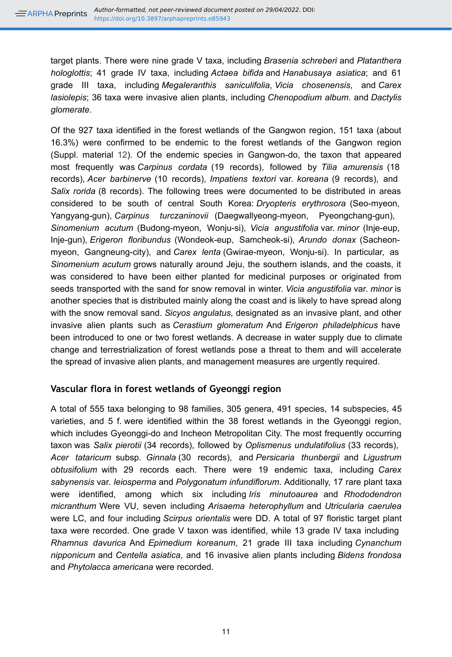target plants. There were nine grade V taxa, including *Brasenia schreberi* and *Platanthera hologlottis*; 41 grade IV taxa, including *Actaea bifida* and *Hanabusaya asiatica*; and 61 grade III taxa, including *Megaleranthis saniculifolia*, *Vicia chosenensis*, and *Carex lasiolepis*; 36 taxa were invasive alien plants, including *Chenopodium album*. and *Dactylis glomerate*.

Of the 927 taxa identified in the forest wetlands of the Gangwon region, 151 taxa (about 16.3%) were confirmed to be endemic to the forest wetlands of the Gangwon region (Suppl. material [12\)](#page-29-3). Of the endemic species in Gangwon-do, the taxon that appeared most frequently was *Carpinus cordata* (19 records), followed by *Tilia amurensis* (18 records), *Acer barbinerve* (10 records), *Impatiens textori* var. *koreana* (9 records), and *Salix rorida* (8 records). The following trees were documented to be distributed in areas considered to be south of central South Korea: *Dryopteris erythrosora* (Seo-myeon, Yangyang-gun), *Carpinus turczaninovii* (Daegwallyeong-myeon, Pyeongchang-gun), *Sinomenium acutum* (Budong-myeon, Wonju-si), *Vicia angustifolia* var. *minor* (Inje-eup, Inje-gun), *Erigeron floribundus* (Wondeok-eup, Samcheok-si), *Arundo donax* (Sacheonmyeon, Gangneung-city), and *Carex lenta* (Gwirae-myeon, Wonju-si). In particular, as *Sinomenium acutum* grows naturally around Jeju, the southern islands, and the coasts, it was considered to have been either planted for medicinal purposes or originated from seeds transported with the sand for snow removal in winter. *Vicia angustifolia* var. *minor* is another species that is distributed mainly along the coast and is likely to have spread along with the snow removal sand. *Sicyos angulatus*, designated as an invasive plant, and other invasive alien plants such as *Cerastium glomeratum* And *Erigeron philadelphicus* have been introduced to one or two forest wetlands. A decrease in water supply due to climate change and terrestrialization of forest wetlands pose a threat to them and will accelerate the spread of invasive alien plants, and management measures are urgently required.

## **Vascular flora in forest wetlands of Gyeonggi region**

A total of 555 taxa belonging to 98 families, 305 genera, 491 species, 14 subspecies, 45 varieties, and 5 f. were identified within the 38 forest wetlands in the Gyeonggi region, which includes Gyeonggi-do and Incheon Metropolitan City. The most frequently occurring taxon was *Salix pierotii* (34 records), followed by *Oplismenus undulatifolius* (33 records), *Acer tataricum* subsp. *Ginnala* (30 records), and *Persicaria thunbergii* and *Ligustrum obtusifolium* with 29 records each. There were 19 endemic taxa, including *Carex sabynensis* var. *leiosperma* and *Polygonatum infundiflorum*. Additionally, 17 rare plant taxa were identified, among which six including *Iris minutoaurea* and *Rhododendron micranthum* Were VU, seven including *Arisaema heterophyllum* and *Utricularia caerulea* were LC, and four including *Scirpus orientalis* were DD. A total of 97 floristic target plant taxa were recorded. One grade V taxon was identified, while 13 grade IV taxa including *Rhamnus davurica* And *Epimedium koreanum*, 21 grade III taxa including *Cynanchum nipponicum* and *Centella asiatica*, and 16 invasive alien plants including *Bidens frondosa* and *Phytolacca americana* were recorded.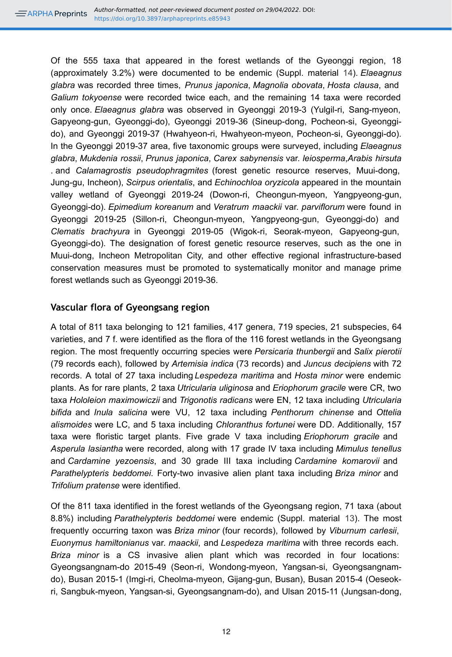Of the 555 taxa that appeared in the forest wetlands of the Gyeonggi region, 18 (approximately 3.2%) were documented to be endemic (Suppl. material [14\)](#page-29-4). *Elaeagnus glabra* was recorded three times, *Prunus japonica*, *Magnolia obovata*, *Hosta clausa*, and *Galium tokyoense* were recorded twice each, and the remaining 14 taxa were recorded only once. *Elaeagnus glabra* was observed in Gyeonggi 2019-3 (Yulgil-ri, Sang-myeon, Gapyeong-gun, Gyeonggi-do), Gyeonggi 2019-36 (Sineup-dong, Pocheon-si, Gyeonggido), and Gyeonggi 2019-37 (Hwahyeon-ri, Hwahyeon-myeon, Pocheon-si, Gyeonggi-do). In the Gyeonggi 2019-37 area, five taxonomic groups were surveyed, including *Elaeagnus glabra*, *Mukdenia rossii*, *Prunus japonica*, *Carex sabynensis* var. *leiosperma*,*Arabis hirsuta* . and *Calamagrostis pseudophragmites* (forest genetic resource reserves, Muui-dong, Jung-gu, Incheon), *Scirpus orientalis*, and *Echinochloa oryzicola* appeared in the mountain valley wetland of Gyeonggi 2019-24 (Dowon-ri, Cheongun-myeon, Yangpyeong-gun, Gyeonggi-do). *Epimedium koreanum* and *Veratrum maackii* var. *parviflorum* were found in Gyeonggi 2019-25 (Sillon-ri, Cheongun-myeon, Yangpyeong-gun, Gyeonggi-do) and *Clematis brachyura* in Gyeonggi 2019-05 (Wigok-ri, Seorak-myeon, Gapyeong-gun, Gyeonggi-do). The designation of forest genetic resource reserves, such as the one in Muui-dong, Incheon Metropolitan City, and other effective regional infrastructure-based conservation measures must be promoted to systematically monitor and manage prime forest wetlands such as Gyeonggi 2019-36.

## **Vascular flora of Gyeongsang region**

A total of 811 taxa belonging to 121 families, 417 genera, 719 species, 21 subspecies, 64 varieties, and 7 f. were identified as the flora of the 116 forest wetlands in the Gyeongsang region. The most frequently occurring species were *Persicaria thunbergii* and *Salix pierotii* (79 records each), followed by *Artemisia indica* (73 records) and *Juncus decipiens* with 72 records. A total of 27 taxa including *Lespedeza maritima* and *Hosta minor* were endemic plants. As for rare plants, 2 taxa *Utricularia uliginosa* and *Eriophorum gracile* were CR, two taxa *Hololeion maximowiczii* and *Trigonotis radicans* were EN, 12 taxa including *Utricularia bifida* and *Inula salicina* were VU, 12 taxa including *Penthorum chinense* and *Ottelia alismoides* were LC, and 5 taxa including *Chloranthus fortunei* were DD. Additionally, 157 taxa were floristic target plants. Five grade V taxa including *Eriophorum gracile* and *Asperula lasiantha* were recorded, along with 17 grade IV taxa including *Mimulus tenellus* and *Cardamine yezoensis*, and 30 grade III taxa including *Cardamine komarovii* and *Parathelypteris beddomei*. Forty-two invasive alien plant taxa including *Briza minor* and *Trifolium pratense* were identified.

Of the 811 taxa identified in the forest wetlands of the Gyeongsang region, 71 taxa (about 8.8%) including *Parathelypteris beddomei* were endemic (Suppl. material [13\)](#page-29-5). The most frequently occurring taxon was *Briza minor* (four records), followed by *Viburnum carlesii*, *Euonymus hamiltonianus* var. *maackii*, and *Lespedeza maritima* with three records each. *Briza minor* is a CS invasive alien plant which was recorded in four locations: Gyeongsangnam-do 2015-49 (Seon-ri, Wondong-myeon, Yangsan-si, Gyeongsangnamdo), Busan 2015-1 (Imgi-ri, Cheolma-myeon, Gijang-gun, Busan), Busan 2015-4 (Oeseokri, Sangbuk-myeon, Yangsan-si, Gyeongsangnam-do), and Ulsan 2015-11 (Jungsan-dong,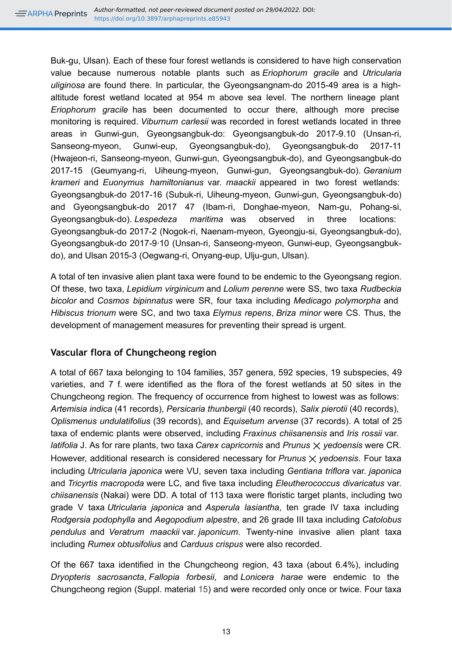Buk-gu, Ulsan). Each of these four forest wetlands is considered to have high conservation value because numerous notable plants such as *Eriophorum gracile* and *Utricularia uliginosa* are found there. In particular, the Gyeongsangnam-do 2015-49 area is a highaltitude forest wetland located at 954 m above sea level. The northern lineage plant *Eriophorum gracile* has been documented to occur there, although more precise monitoring is required. *Viburnum carlesii* was recorded in forest wetlands located in three areas in Gunwi-gun, Gyeongsangbuk-do: Gyeongsangbuk-do 2017-9.10 (Unsan-ri, Sanseong-myeon, Gunwi-eup, Gyeongsangbuk-do), Gyeongsangbuk-do 2017-11 (Hwajeon-ri, Sanseong-myeon, Gunwi-gun, Gyeongsangbuk-do), and Gyeongsangbuk-do 2017-15 (Geumyang-ri, Uiheung-myeon, Gunwi-gun, Gyeongsangbuk-do). *Geranium krameri* and *Euonymus hamiltonianus* var. *maackii* appeared in two forest wetlands: Gyeongsangbuk-do 2017-16 (Subuk-ri, Uiheung-myeon, Gunwi-gun, Gyeongsangbuk-do) and Gyeongsangbuk-do 2017 47 (Ibam-ri, Donghae-myeon, Nam-gu, Pohang-si, Gyeongsangbuk-do). *Lespedeza maritima* was observed in three locations: Gyeongsangbuk-do 2017-2 (Nogok-ri, Naenam-myeon, Gyeongju-si, Gyeongsangbuk-do), Gyeongsangbuk-do 2017-9·10 (Unsan-ri, Sanseong-myeon, Gunwi-eup, Gyeongsangbukdo), and Ulsan 2015-3 (Oegwang-ri, Onyang-eup, Ulju-gun, Ulsan).

A total of ten invasive alien plant taxa were found to be endemic to the Gyeongsang region. Of these, two taxa, *Lepidium virginicum* and *Lolium perenne* were SS, two taxa *Rudbeckia bicolor* and *Cosmos bipinnatus* were SR, four taxa including *Medicago polymorpha* and *Hibiscus trionum* were SC, and two taxa *Elymus repens*, *Briza minor* were CS. Thus, the development of management measures for preventing their spread is urgent.

## **Vascular flora of Chungcheong region**

A total of 667 taxa belonging to 104 families, 357 genera, 592 species, 19 subspecies, 49 varieties, and 7 f. were identified as the flora of the forest wetlands at 50 sites in the Chungcheong region. The frequency of occurrence from highest to lowest was as follows: *Artemisia indica* (41 records), *Persicaria thunbergii* (40 records), *Salix pierotii* (40 records), *Oplismenus undulatifolius* (39 records), and *Equisetum arvense* (37 records). A total of 25 taxa of endemic plants were observed, including *Fraxinus chiisanensis* and *Iris rossii* var. *latifolia* J. As for rare plants, two taxa *Carex capricornis* and *Prunus* ⨉ *yedoensis* were CR. However, additional research is considered necessary for *Prunus*  $\times$  *yedoensis*. Four taxa including *Utricularia japonica* were VU, seven taxa including *Gentiana triflora* var. *japonica* and *Tricyrtis macropoda* were LC, and five taxa including *Eleutherococcus divaricatus* var. *chiisanensis* (Nakai) were DD. A total of 113 taxa were floristic target plants, including two grade V taxa *Utricularia japonica* and *Asperula lasiantha*, ten grade IV taxa including *Rodgersia podophylla* and *Aegopodium alpestre*, and 26 grade III taxa including *Catolobus pendulus* and *Veratrum maackii* var. *japonicum*. Twenty-nine invasive alien plant taxa including *Rumex obtusifolius* and *Carduus crispus* were also recorded.

Of the 667 taxa identified in the Chungcheong region, 43 taxa (about 6.4%), including *Dryopteris sacrosancta*, *Fallopia forbesii*, and *Lonicera harae* were endemic to the Chungcheong region (Suppl. material [15](#page-29-6)) and were recorded only once or twice. Four taxa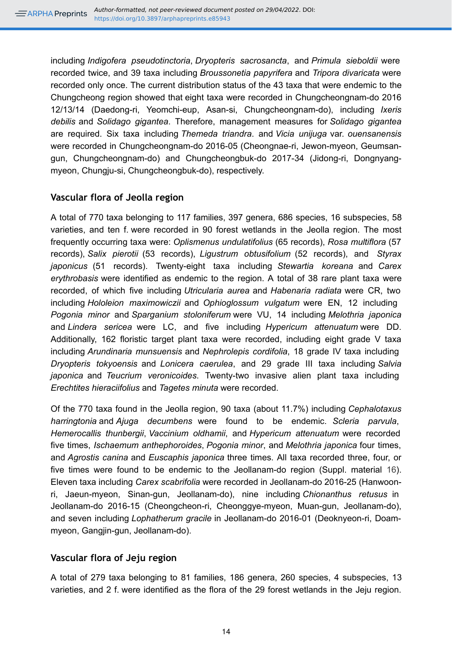including *Indigofera pseudotinctoria*, *Dryopteris sacrosancta*, and *Primula sieboldii* were recorded twice, and 39 taxa including *Broussonetia papyrifera* and *Tripora divaricata* were recorded only once. The current distribution status of the 43 taxa that were endemic to the Chungcheong region showed that eight taxa were recorded in Chungcheongnam-do 2016 12/13/14 (Daedong-ri, Yeomchi-eup, Asan-si, Chungcheongnam-do), including *Ixeris debilis* and *Solidago gigantea*. Therefore, management measures for *Solidago gigantea* are required. Six taxa including *Themeda triandra*. and *Vicia unijuga* var. *ouensanensis* were recorded in Chungcheongnam-do 2016-05 (Cheongnae-ri, Jewon-myeon, Geumsangun, Chungcheongnam-do) and Chungcheongbuk-do 2017-34 (Jidong-ri, Dongnyangmyeon, Chungju-si, Chungcheongbuk-do), respectively.

## **Vascular flora of Jeolla region**

A total of 770 taxa belonging to 117 families, 397 genera, 686 species, 16 subspecies, 58 varieties, and ten f. were recorded in 90 forest wetlands in the Jeolla region. The most frequently occurring taxa were: *Oplismenus undulatifolius* (65 records), *Rosa multiflora* (57 records), *Salix pierotii* (53 records), *Ligustrum obtusifolium* (52 records), and *Styrax japonicus* (51 records). Twenty-eight taxa including *Stewartia koreana* and *Carex erythrobasis* were identified as endemic to the region. A total of 38 rare plant taxa were recorded, of which five including *Utricularia aurea* and *Habenaria radiata* were CR, two including *Hololeion maximowiczii* and *Ophioglossum vulgatum* were EN, 12 including *Pogonia minor* and *Sparganium stoloniferum* were VU, 14 including *Melothria japonica* and *Lindera sericea* were LC, and five including *Hypericum attenuatum* were DD. Additionally, 162 floristic target plant taxa were recorded, including eight grade V taxa including *Arundinaria munsuensis* and *Nephrolepis cordifolia*, 18 grade IV taxa including *Dryopteris tokyoensis* and *Lonicera caerulea*, and 29 grade III taxa including *Salvia japonica* and *Teucrium veronicoides*. Twenty-two invasive alien plant taxa including *Erechtites hieraciifolius* and *Tagetes minuta* were recorded.

Of the 770 taxa found in the Jeolla region, 90 taxa (about 11.7%) including *Cephalotaxus harringtonia* and *Ajuga decumbens* were found to be endemic. *Scleria parvula*, *Hemerocallis thunbergii*, *Vaccinium oldhamii*, and *Hypericum attenuatum* were recorded five times, *Ischaemum anthephoroides*, *Pogonia minor*, and *Melothria japonica* four times, and *Agrostis canina* and *Euscaphis japonica* three times. All taxa recorded three, four, or five times were found to be endemic to the Jeollanam-do region (Suppl. material [16\)](#page-30-1). Eleven taxa including *Carex scabrifolia* were recorded in Jeollanam-do 2016-25 (Hanwoonri, Jaeun-myeon, Sinan-gun, Jeollanam-do), nine including *Chionanthus retusus* in Jeollanam-do 2016-15 (Cheongcheon-ri, Cheonggye-myeon, Muan-gun, Jeollanam-do), and seven including *Lophatherum gracile* in Jeollanam-do 2016-01 (Deoknyeon-ri, Doammyeon, Gangjin-gun, Jeollanam-do).

## **Vascular flora of Jeju region**

A total of 279 taxa belonging to 81 families, 186 genera, 260 species, 4 subspecies, 13 varieties, and 2 f. were identified as the flora of the 29 forest wetlands in the Jeju region.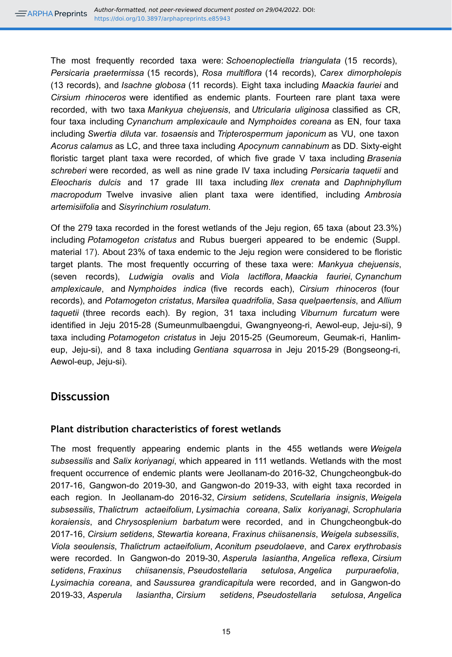The most frequently recorded taxa were: *Schoenoplectiella triangulata* (15 records), *Persicaria praetermissa* (15 records), *Rosa multiflora* (14 records), *Carex dimorpholepis* (13 records), and *Isachne globosa* (11 records). Eight taxa including *Maackia fauriei* and *Cirsium rhinoceros* were identified as endemic plants. Fourteen rare plant taxa were recorded, with two taxa *Mankyua chejuensis*, and *Utricularia uliginosa* classified as CR, four taxa including *Cynanchum amplexicaule* and *Nymphoides coreana* as EN, four taxa including *Swertia diluta* var. *tosaensis* and *Tripterospermum japonicum* as VU, one taxon *Acorus calamus* as LC, and three taxa including *Apocynum cannabinum* as DD. Sixty-eight floristic target plant taxa were recorded, of which five grade V taxa including *Brasenia schreberi* were recorded, as well as nine grade IV taxa including *Persicaria taquetii* and *Eleocharis dulcis* and 17 grade III taxa including *Ilex crenata* and *Daphniphyllum macropodum* Twelve invasive alien plant taxa were identified, including *Ambrosia artemisiifolia* and *Sisyrinchium rosulatum*.

Of the 279 taxa recorded in the forest wetlands of the Jeju region, 65 taxa (about 23.3%) including *Potamogeton cristatus* and Rubus buergeri appeared to be endemic (Suppl. material [17](#page-30-2)). About 23% of taxa endemic to the Jeju region were considered to be floristic target plants. The most frequently occurring of these taxa were: *Mankyua chejuensis*, (seven records), *Ludwigia ovalis* and *Viola lactiflora*, *Maackia fauriei*, *Cynanchum amplexicaule*, and *Nymphoides indica* (five records each), *Cirsium rhinoceros* (four records), and *Potamogeton cristatus*, *Marsilea quadrifolia*, *Sasa quelpaertensis*, and *Allium taquetii* (three records each). By region, 31 taxa including *Viburnum furcatum* were identified in Jeju 2015-28 (Sumeunmulbaengdui, Gwangnyeong-ri, Aewol-eup, Jeju-si), 9 taxa including *Potamogeton cristatus* in Jeju 2015-25 (Geumoreum, Geumak-ri, Hanlimeup, Jeju-si), and 8 taxa including *Gentiana squarrosa* in Jeju 2015-29 (Bongseong-ri, Aewol-eup, Jeju-si).

## **Disscussion**

## **Plant distribution characteristics of forest wetlands**

The most frequently appearing endemic plants in the 455 wetlands were *Weigela subsessilis* and *Salix koriyanagi*, which appeared in 111 wetlands. Wetlands with the most frequent occurrence of endemic plants were Jeollanam-do 2016-32, Chungcheongbuk-do 2017-16, Gangwon-do 2019-30, and Gangwon-do 2019-33, with eight taxa recorded in each region. In Jeollanam-do 2016-32, *Cirsium setidens*, *Scutellaria insignis*, *Weigela subsessilis*, *Thalictrum actaeifolium*, *Lysimachia coreana*, *Salix koriyanagi*, *Scrophularia koraiensis*, and *Chrysosplenium barbatum* were recorded, and in Chungcheongbuk-do 2017-16, *Cirsium setidens*, *Stewartia koreana*, *Fraxinus chiisanensis*, *Weigela subsessilis*, *Viola seoulensis*, *Thalictrum actaeifolium*, *Aconitum pseudolaeve*, and *Carex erythrobasis* were recorded. In Gangwon-do 2019-30, *Asperula lasiantha*, *Angelica reflexa*, *Cirsium setidens*, *Fraxinus chiisanensis*, *Pseudostellaria setulosa*, *Angelica purpuraefolia*, *Lysimachia coreana*, and *Saussurea grandicapitula* were recorded, and in Gangwon-do 2019-33, *Asperula lasiantha*, *Cirsium setidens*, *Pseudostellaria setulosa*, *Angelica*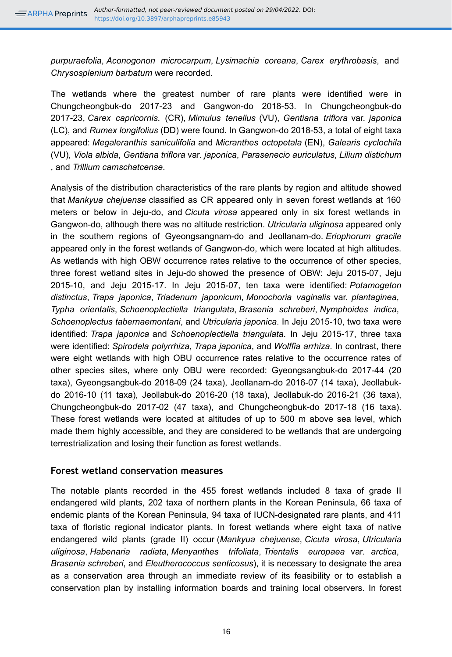*purpuraefolia*, *Aconogonon microcarpum*, *Lysimachia coreana*, *Carex erythrobasis*, and *Chrysosplenium barbatum* were recorded.

The wetlands where the greatest number of rare plants were identified were in Chungcheongbuk-do 2017-23 and Gangwon-do 2018-53. In Chungcheongbuk-do 2017-23, *Carex capricornis*. (CR), *Mimulus tenellus* (VU), *Gentiana triflora* var. *japonica* (LC), and *Rumex longifolius* (DD) were found. In Gangwon-do 2018-53, a total of eight taxa appeared: *Megaleranthis saniculifolia* and *Micranthes octopetala* (EN), *Galearis cyclochila* (VU), *Viola albida*, *Gentiana triflora* var. *japonica*, *Parasenecio auriculatus*, *Lilium distichum* , and *Trillium camschatcense*.

Analysis of the distribution characteristics of the rare plants by region and altitude showed that *Mankyua chejuense* classified as CR appeared only in seven forest wetlands at 160 meters or below in Jeju-do, and *Cicuta virosa* appeared only in six forest wetlands in Gangwon-do, although there was no altitude restriction. *Utricularia uliginosa* appeared only in the southern regions of Gyeongsangnam-do and Jeollanam-do. *Eriophorum gracile* appeared only in the forest wetlands of Gangwon-do, which were located at high altitudes. As wetlands with high OBW occurrence rates relative to the occurrence of other species, three forest wetland sites in Jeju-do showed the presence of OBW: Jeju 2015-07, Jeju 2015-10, and Jeju 2015-17. In Jeju 2015-07, ten taxa were identified: *Potamogeton distinctus*, *Trapa japonica*, *Triadenum japonicum*, *Monochoria vaginalis* var. *plantaginea*, *Typha orientalis*, *Schoenoplectiella triangulata*, *Brasenia schreberi*, *Nymphoides indica*, *Schoenoplectus tabernaemontani*, and *Utricularia japonica*. In Jeju 2015-10, two taxa were identified: *Trapa japonica* and *Schoenoplectiella triangulata*. In Jeju 2015-17, three taxa were identified: *Spirodela polyrrhiza*, *Trapa japonica*, and *Wolffia arrhiza*. In contrast, there were eight wetlands with high OBU occurrence rates relative to the occurrence rates of other species sites, where only OBU were recorded: Gyeongsangbuk-do 2017-44 (20 taxa), Gyeongsangbuk-do 2018-09 (24 taxa), Jeollanam-do 2016-07 (14 taxa), Jeollabukdo 2016-10 (11 taxa), Jeollabuk-do 2016-20 (18 taxa), Jeollabuk-do 2016-21 (36 taxa), Chungcheongbuk-do 2017-02 (47 taxa), and Chungcheongbuk-do 2017-18 (16 taxa). These forest wetlands were located at altitudes of up to 500 m above sea level, which made them highly accessible, and they are considered to be wetlands that are undergoing terrestrialization and losing their function as forest wetlands.

## **Forest wetland conservation measures**

The notable plants recorded in the 455 forest wetlands included 8 taxa of grade II endangered wild plants, 202 taxa of northern plants in the Korean Peninsula, 66 taxa of endemic plants of the Korean Peninsula, 94 taxa of IUCN-designated rare plants, and 411 taxa of floristic regional indicator plants. In forest wetlands where eight taxa of native endangered wild plants (grade II) occur (*Mankyua chejuense*, *Cicuta virosa*, *Utricularia uliginosa*, *Habenaria radiata*, *Menyanthes trifoliata*, *Trientalis europaea* var. *arctica*, *Brasenia schreberi*, and *Eleutherococcus senticosus*), it is necessary to designate the area as a conservation area through an immediate review of its feasibility or to establish a conservation plan by installing information boards and training local observers. In forest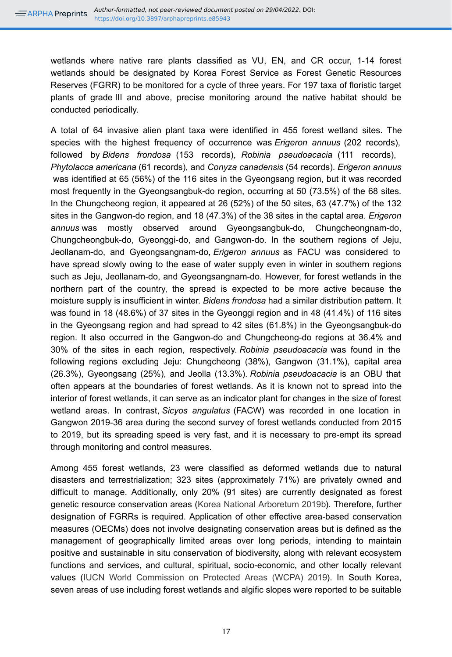wetlands where native rare plants classified as VU, EN, and CR occur, 1-14 forest wetlands should be designated by Korea Forest Service as Forest Genetic Resources Reserves (FGRR) to be monitored for a cycle of three years. For 197 taxa of floristic target plants of grade III and above, precise monitoring around the native habitat should be conducted periodically.

A total of 64 invasive alien plant taxa were identified in 455 forest wetland sites. The species with the highest frequency of occurrence was *Erigeron annuus* (202 records), followed by *Bidens frondosa* (153 records), *Robinia pseudoacacia* (111 records), *Phytolacca americana* (61 records), and *Conyza canadensis* (54 records). *Erigeron annuus* was identified at 65 (56%) of the 116 sites in the Gyeongsang region, but it was recorded most frequently in the Gyeongsangbuk-do region, occurring at 50 (73.5%) of the 68 sites. In the Chungcheong region, it appeared at 26 (52%) of the 50 sites, 63 (47.7%) of the 132 sites in the Gangwon-do region, and 18 (47.3%) of the 38 sites in the captal area. *Erigeron annuus* was mostly observed around Gyeongsangbuk-do, Chungcheongnam-do, Chungcheongbuk-do, Gyeonggi-do, and Gangwon-do. In the southern regions of Jeju, Jeollanam-do, and Gyeongsangnam-do, *Erigeron annuus* as FACU was considered to have spread slowly owing to the ease of water supply even in winter in southern regions such as Jeju, Jeollanam-do, and Gyeongsangnam-do. However, for forest wetlands in the northern part of the country, the spread is expected to be more active because the moisture supply is insufficient in winter. *Bidens frondosa* had a similar distribution pattern. It was found in 18 (48.6%) of 37 sites in the Gyeonggi region and in 48 (41.4%) of 116 sites in the Gyeongsang region and had spread to 42 sites (61.8%) in the Gyeongsangbuk-do region. It also occurred in the Gangwon-do and Chungcheong-do regions at 36.4% and 30% of the sites in each region, respectively. *Robinia pseudoacacia* was found in the following regions excluding Jeju: Chungcheong (38%), Gangwon (31.1%), capital area (26.3%), Gyeongsang (25%), and Jeolla (13.3%). *Robinia pseudoacacia* is an OBU that often appears at the boundaries of forest wetlands. As it is known not to spread into the interior of forest wetlands, it can serve as an indicator plant for changes in the size of forest wetland areas. In contrast, *Sicyos angulatus* (FACW) was recorded in one location in Gangwon 2019-36 area during the second survey of forest wetlands conducted from 2015 to 2019, but its spreading speed is very fast, and it is necessary to pre-empt its spread through monitoring and control measures.

Among 455 forest wetlands, 23 were classified as deformed wetlands due to natural disasters and terrestrialization; 323 sites (approximately 71%) are privately owned and difficult to manage. Additionally, only 20% (91 sites) are currently designated as forest genetic resource conservation areas [\(Korea National Arboretum 2019b\)](#page-21-7). Therefore, further designation of FGRRs is required. Application of other effective area-based conservation measures (OECMs) does not involve designating conservation areas but is defined as the management of geographically limited areas over long periods, intending to maintain positive and sustainable in situ conservation of biodiversity, along with relevant ecosystem functions and services, and cultural, spiritual, socio-economic, and other locally relevant values [\(IUCN World Commission on Protected Areas \(WCPA\) 2019](#page-20-12)). In South Korea, seven areas of use including forest wetlands and algific slopes were reported to be suitable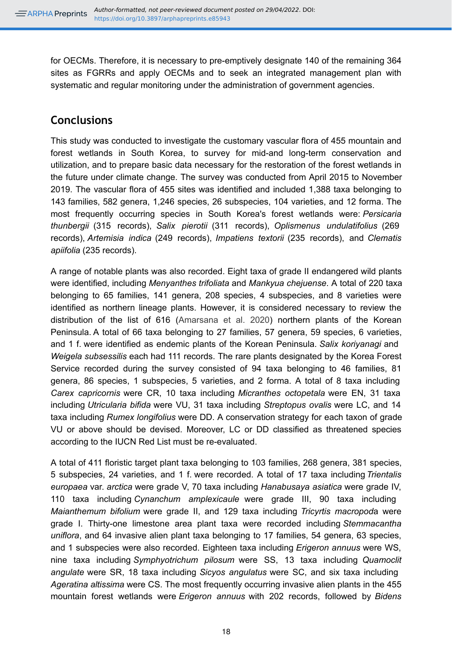for OECMs. Therefore, it is necessary to pre-emptively designate 140 of the remaining 364 sites as FGRRs and apply OECMs and to seek an integrated management plan with systematic and regular monitoring under the administration of government agencies.

# **Conclusions**

This study was conducted to investigate the customary vascular flora of 455 mountain and forest wetlands in South Korea, to survey for mid-and long-term conservation and utilization, and to prepare basic data necessary for the restoration of the forest wetlands in the future under climate change. The survey was conducted from April 2015 to November 2019. The vascular flora of 455 sites was identified and included 1,388 taxa belonging to 143 families, 582 genera, 1,246 species, 26 subspecies, 104 varieties, and 12 forma. The most frequently occurring species in South Korea's forest wetlands were: *Persicaria thunbergii* (315 records), *Salix pierotii* (311 records), *Oplismenus undulatifolius* (269 records), *Artemisia indica* (249 records), *Impatiens textorii* (235 records), and *Clematis apiifolia* (235 records).

A range of notable plants was also recorded. Eight taxa of grade II endangered wild plants were identified, including *Menyanthes trifoliata* and *Mankyua chejuense*. A total of 220 taxa belonging to 65 families, 141 genera, 208 species, 4 subspecies, and 8 varieties were identified as northern lineage plants. However, it is considered necessary to review the distribution of the list of 616 ([Amarsana et al. 2020\)](#page-19-3) northern plants of the Korean Peninsula. A total of 66 taxa belonging to 27 families, 57 genera, 59 species, 6 varieties, and 1 f. were identified as endemic plants of the Korean Peninsula. *Salix koriyanagi* and *Weigela subsessilis* each had 111 records. The rare plants designated by the Korea Forest Service recorded during the survey consisted of 94 taxa belonging to 46 families, 81 genera, 86 species, 1 subspecies, 5 varieties, and 2 forma. A total of 8 taxa including *Carex capricornis* were CR, 10 taxa including *Micranthes octopetala* were EN, 31 taxa including *Utricularia bifida* were VU, 31 taxa including *Streptopus ovalis* were LC, and 14 taxa including *Rumex longifolius* were DD. A conservation strategy for each taxon of grade VU or above should be devised. Moreover, LC or DD classified as threatened species according to the IUCN Red List must be re-evaluated.

A total of 411 floristic target plant taxa belonging to 103 families, 268 genera, 381 species, 5 subspecies, 24 varieties, and 1 f. were recorded. A total of 17 taxa including *Trientalis europaea* var. *arctica* were grade V, 70 taxa including *Hanabusaya asiatica* were grade IV, 110 taxa including *Cynanchum amplexicaule* were grade III, 90 taxa including *Maianthemum bifolium* were grade II, and 129 taxa including *Tricyrtis macropod*a were grade I. Thirty-one limestone area plant taxa were recorded including *Stemmacantha uniflora*, and 64 invasive alien plant taxa belonging to 17 families, 54 genera, 63 species, and 1 subspecies were also recorded. Eighteen taxa including *Erigeron annuus* were WS, nine taxa including *Symphyotrichum pilosum* were SS, 13 taxa including *Quamoclit angulate* were SR, 18 taxa including *Sicyos angulatus* were SC, and six taxa including *Ageratina altissima* were CS. The most frequently occurring invasive alien plants in the 455 mountain forest wetlands were *Erigeron annuus* with 202 records, followed by *Bidens*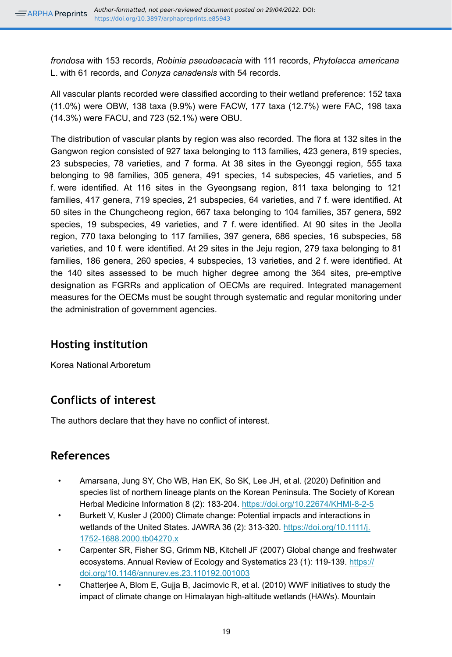*frondosa* with 153 records, *Robinia pseudoacacia* with 111 records, *Phytolacca americana* L. with 61 records, and *Conyza canadensis* with 54 records.

All vascular plants recorded were classified according to their wetland preference: 152 taxa (11.0%) were OBW, 138 taxa (9.9%) were FACW, 177 taxa (12.7%) were FAC, 198 taxa (14.3%) were FACU, and 723 (52.1%) were OBU.

The distribution of vascular plants by region was also recorded. The flora at 132 sites in the Gangwon region consisted of 927 taxa belonging to 113 families, 423 genera, 819 species, 23 subspecies, 78 varieties, and 7 forma. At 38 sites in the Gyeonggi region, 555 taxa belonging to 98 families, 305 genera, 491 species, 14 subspecies, 45 varieties, and 5 f. were identified. At 116 sites in the Gyeongsang region, 811 taxa belonging to 121 families, 417 genera, 719 species, 21 subspecies, 64 varieties, and 7 f. were identified. At 50 sites in the Chungcheong region, 667 taxa belonging to 104 families, 357 genera, 592 species, 19 subspecies, 49 varieties, and 7 f. were identified. At 90 sites in the Jeolla region, 770 taxa belonging to 117 families, 397 genera, 686 species, 16 subspecies, 58 varieties, and 10 f. were identified. At 29 sites in the Jeju region, 279 taxa belonging to 81 families, 186 genera, 260 species, 4 subspecies, 13 varieties, and 2 f. were identified. At the 140 sites assessed to be much higher degree among the 364 sites, pre-emptive designation as FGRRs and application of OECMs are required. Integrated management measures for the OECMs must be sought through systematic and regular monitoring under the administration of government agencies.

# **Hosting institution**

Korea National Arboretum

# **Conflicts of interest**

The authors declare that they have no conflict of interest.

# **References**

- <span id="page-19-3"></span>• Amarsana, Jung SY, Cho WB, Han EK, So SK, Lee JH, et al. (2020) Definition and species list of northern lineage plants on the Korean Peninsula. The Society of Korean Herbal Medicine Information 8 (2): 183-204.<https://doi.org/10.22674/KHMI-8-2-5>
- <span id="page-19-0"></span>Burkett V, Kusler J (2000) Climate change: Potential impacts and interactions in wetlands of the United States. JAWRA 36 (2): 313-320. [https://doi.org/10.1111/j.](https://doi.org/10.1111/j.1752-1688.2000.tb04270.x) [1752-1688.2000.tb04270.x](https://doi.org/10.1111/j.1752-1688.2000.tb04270.x)
- <span id="page-19-1"></span>• Carpenter SR, Fisher SG, Grimm NB, Kitchell JF (2007) Global change and freshwater ecosystems. Annual Review of Ecology and Systematics 23 (1): 119-139. [https://](https://doi.org/10.1146/annurev.es.23.110192.001003) [doi.org/10.1146/annurev.es.23.110192.001003](https://doi.org/10.1146/annurev.es.23.110192.001003)
- <span id="page-19-2"></span>• Chatterjee A, Blom E, Gujja B, Jacimovic R, et al. (2010) WWF initiatives to study the impact of climate change on Himalayan high-altitude wetlands (HAWs). Mountain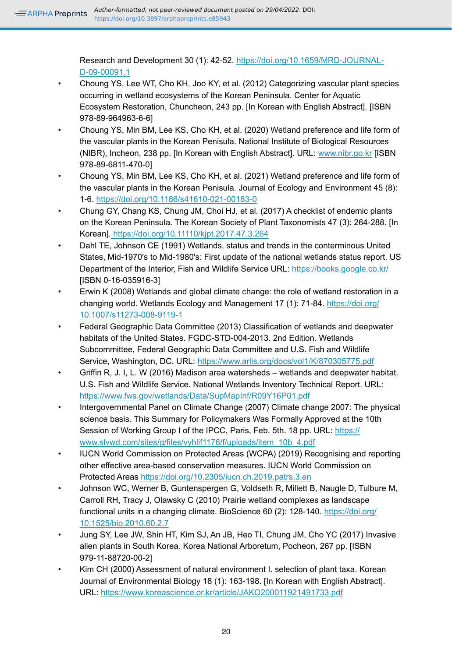Research and Development 30 (1): 42‑52. [https://doi.org/10.1659/MRD-JOURNAL-](https://doi.org/10.1659/MRD-JOURNAL-D-09-00091.1)[D-09-00091.1](https://doi.org/10.1659/MRD-JOURNAL-D-09-00091.1)

- <span id="page-20-9"></span>• Choung YS, Lee WT, Cho KH, Joo KY, et al. (2012) Categorizing vascular plant species occurring in wetland ecosystems of the Korean Peninsula. Center for Aquatic Ecosystem Restoration, Chuncheon, 243 pp. [In Korean with English Abstract]. [ISBN 978-89-964963-6-6]
- <span id="page-20-10"></span>• Choung YS, Min BM, Lee KS, Cho KH, et al. (2020) Wetland preference and life form of the vascular plants in the Korean Penisula. National Institute of Biological Resources (NIBR), Incheon, 238 pp. [In Korean with English Abstract]. URL: [www.nibr.go.kr](http://www.nibr.go.kr) [ISBN 978-89-6811-470-0]
- <span id="page-20-11"></span>• Choung YS, Min BM, Lee KS, Cho KH, et al. (2021) Wetland preference and life form of the vascular plants in the Korean Penisula. Journal of Ecology and Environment 45 (8): 1‑6. <https://doi.org/10.1186/s41610-021-00183-0>
- <span id="page-20-6"></span>• Chung GY, Chang KS, Chung JM, Choi HJ, et al. (2017) A checklist of endemic plants on the Korean Peninsula. The Korean Society of Plant Taxonomists 47 (3): 264‑288. [In Korean].<https://doi.org/10.11110/kjpt.2017.47.3.264>
- <span id="page-20-2"></span>• Dahl TE, Johnson CE (1991) Wetlands, status and trends in the conterminous United States, Mid-1970's to Mid-1980's: First update of the national wetlands status report. US Department of the Interior, Fish and Wildlife Service URL: <https://books.google.co.kr/> [ISBN 0-16-035916-3]
- <span id="page-20-5"></span>• Erwin K (2008) Wetlands and global climate change: the role of wetland restoration in a changing world. Wetlands Ecology and Management 17 (1): 71‑84. [https://doi.org/](https://doi.org/10.1007/s11273-008-9119-1) [10.1007/s11273-008-9119-1](https://doi.org/10.1007/s11273-008-9119-1)
- <span id="page-20-0"></span>• Federal Geographic Data Committee (2013) Classification of wetlands and deepwater habitats of the United States. FGDC-STD-004-2013. 2nd Edition. Wetlands Subcommittee, Federal Geographic Data Committee and U.S. Fish and Wildlife Service, Washington, DC. URL:<https://www.arlis.org/docs/vol1/K/870305775.pdf>
- <span id="page-20-1"></span>• Griffin R, J. I, L. W (2016) Madison area watersheds – wetlands and deepwater habitat. U.S. Fish and Wildlife Service. National Wetlands Inventory Technical Report. URL: <https://www.fws.gov/wetlands/Data/SupMapInf/R09Y16P01.pdf>
- <span id="page-20-3"></span>• Intergovernmental Panel on Climate Change (2007) Climate change 2007: The physical science basis. This Summary for Policymakers Was Formally Approved at the 10th Session of Working Group I of the IPCC, Paris, Feb. 5th. 18 pp. URL: [https://](https://www.slvwd.com/sites/g/files/vyhlif1176/f/uploads/item_10b_4.pdf) [www.slvwd.com/sites/g/files/vyhlif1176/f/uploads/item\\_10b\\_4.pdf](https://www.slvwd.com/sites/g/files/vyhlif1176/f/uploads/item_10b_4.pdf)
- <span id="page-20-12"></span>• IUCN World Commission on Protected Areas (WCPA) (2019) Recognising and reporting other effective area-based conservation measures. IUCN World Commission on Protected Area[s https://doi.org/10.2305/iucn.ch.2019.patrs.3.en](https://doi.org/10.2305/iucn.ch.2019.patrs.3.en)
- <span id="page-20-4"></span>• Johnson WC, Werner B, Guntenspergen G, Voldseth R, Millett B, Naugle D, Tulbure M, Carroll RH, Tracy J, Olawsky C (2010) Prairie wetland complexes as landscape functional units in a changing climate. BioScience 60 (2): 128‑140. [https://doi.org/](https://doi.org/10.1525/bio.2010.60.2.7) [10.1525/bio.2010.60.2.7](https://doi.org/10.1525/bio.2010.60.2.7)
- <span id="page-20-8"></span>• Jung SY, Lee JW, Shin HT, Kim SJ, An JB, Heo TI, Chung JM, Cho YC (2017) Invasive alien plants in South Korea. Korea National Arboretum, Pocheon, 267 pp. [ISBN 979-11-88720-00-2]
- <span id="page-20-7"></span>• Kim CH (2000) Assessment of natural environment I. selection of plant taxa. Korean Journal of Environmental Biology 18 (1): 163‑198. [In Korean with English Abstract]. URL:<https://www.koreascience.or.kr/article/JAKO200011921491733.pdf>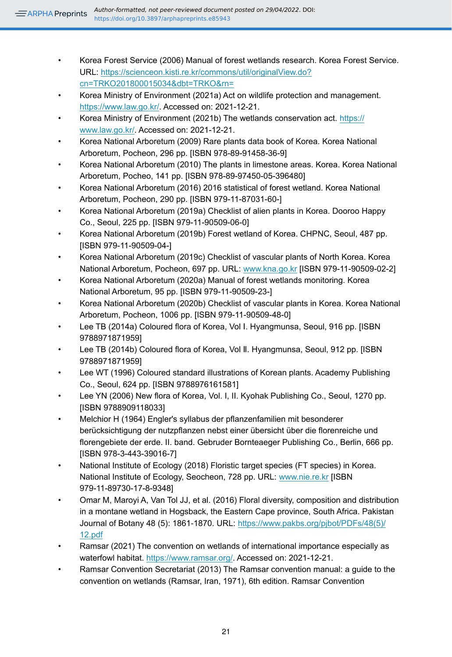- <span id="page-21-4"></span>• Korea Forest Service (2006) Manual of forest wetlands research. Korea Forest Service. URL: [https://scienceon.kisti.re.kr/commons/util/originalView.do?](https://scienceon.kisti.re.kr/commons/util/originalView.do?cn=TRKO201800015034&dbt=TRKO&rn=) [cn=TRKO201800015034&dbt=TRKO&rn=](https://scienceon.kisti.re.kr/commons/util/originalView.do?cn=TRKO201800015034&dbt=TRKO&rn=)
- <span id="page-21-16"></span>• Korea Ministry of Environment (2021a) Act on wildlife protection and management. [https://www.law.go.kr/.](https://www.law.go.kr/) Accessed on: 2021-12-21.
- <span id="page-21-1"></span>• Korea Ministry of Environment (2021b) The wetlands conservation act. [https://](https://www.law.go.kr/) [www.law.go.kr/.](https://www.law.go.kr/) Accessed on: 2021-12-21.
- <span id="page-21-15"></span>• Korea National Arboretum (2009) Rare plants data book of Korea. Korea National Arboretum, Pocheon, 296 pp. [ISBN 978-89-91458-36-9]
- <span id="page-21-18"></span>• Korea National Arboretum (2010) The plants in limestone areas. Korea. Korea National Arboretum, Pocheo, 141 pp. [ISBN 978-89-97450-05-396480]
- <span id="page-21-5"></span>• Korea National Arboretum (2016) 2016 statistical of forest wetland. Korea National Arboretum, Pocheon, 290 pp. [ISBN 979-11-87031-60-]
- <span id="page-21-19"></span>• Korea National Arboretum (2019a) Checklist of alien plants in Korea. Dooroo Happy Co., Seoul, 225 pp. [ISBN 979-11-90509-06-0]
- <span id="page-21-7"></span>• Korea National Arboretum (2019b) Forest wetland of Korea. CHPNC, Seoul, 487 pp. [ISBN 979-11-90509-04-]
- <span id="page-21-14"></span>• Korea National Arboretum (2019c) Checklist of vascular plants of North Korea. Korea National Arboretum, Pocheon, 697 pp. URL: [www.kna.go.kr](http://www.kna.go.kr) [ISBN 979-11-90509-02-2]
- <span id="page-21-8"></span>• Korea National Arboretum (2020a) Manual of forest wetlands monitoring. Korea National Arboretum, 95 pp. [ISBN 979-11-90509-23-]
- <span id="page-21-6"></span>• Korea National Arboretum (2020b) Checklist of vascular plants in Korea. Korea National Arboretum, Pocheon, 1006 pp. [ISBN 979-11-90509-48-0]
- <span id="page-21-10"></span>Lee TB (2014a) Coloured flora of Korea, Vol I. Hyangmunsa, Seoul, 916 pp. [ISBN 9788971871959]
- <span id="page-21-11"></span>• Lee TB (2014b) Coloured flora of Korea, Vol Ⅱ. Hyangmunsa, Seoul, 912 pp. [ISBN 9788971871959]
- <span id="page-21-9"></span>• Lee WT (1996) Coloured standard illustrations of Korean plants. Academy Publishing Co., Seoul, 624 pp. [ISBN 9788976161581]
- <span id="page-21-12"></span>Lee YN (2006) New flora of Korea, Vol. I, II. Kyohak Publishing Co., Seoul, 1270 pp. [ISBN 9788909118033]
- <span id="page-21-13"></span>• Melchior H (1964) Engler's syllabus der pflanzenfamilien mit besonderer berücksichtigung der nutzpflanzen nebst einer übersicht über die florenreiche und florengebiete der erde. II. band. Gebruder Bornteaeger Publishing Co., Berlin, 666 pp. [ISBN 978-3-443-39016-7]
- <span id="page-21-17"></span>• National Institute of Ecology (2018) Floristic target species (FT species) in Korea. National Institute of Ecology, Seocheon, 728 pp. URL: [www.nie.re.kr](http://www.nie.re.kr) [ISBN 979-11-89730-17-8-9348]
- <span id="page-21-3"></span>• Omar M, Maroyi A, Van Tol JJ, et al. (2016) Floral diversity, composition and distribution in a montane wetland in Hogsback, the Eastern Cape province, South Africa. Pakistan Journal of Botany 48 (5): 1861‑1870. URL: [https://www.pakbs.org/pjbot/PDFs/48\(5\)/](https://www.pakbs.org/pjbot/PDFs/48(5)/12.pdf) [12.pdf](https://www.pakbs.org/pjbot/PDFs/48(5)/12.pdf)
- <span id="page-21-0"></span>• Ramsar (2021) The convention on wetlands of international importance especially as waterfowl habitat. [https://www.ramsar.org/.](https://www.ramsar.org/) Accessed on: 2021-12-21.
- <span id="page-21-2"></span>• Ramsar Convention Secretariat (2013) The Ramsar convention manual: a guide to the convention on wetlands (Ramsar, Iran, 1971), 6th edition. Ramsar Convention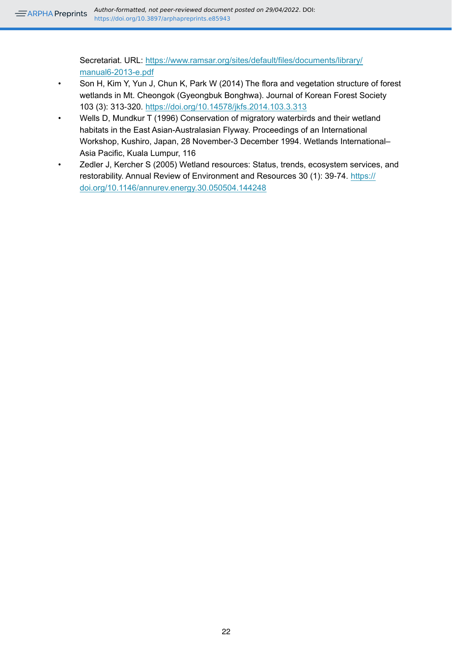Secretariat. URL: [https://www.ramsar.org/sites/default/files/documents/library/](https://www.ramsar.org/sites/default/files/documents/library/manual6-2013-e.pdf) [manual6-2013-e.pdf](https://www.ramsar.org/sites/default/files/documents/library/manual6-2013-e.pdf)

- <span id="page-22-2"></span>• Son H, Kim Y, Yun J, Chun K, Park W (2014) The flora and vegetation structure of forest wetlands in Mt. Cheongok (Gyeongbuk Bonghwa). Journal of Korean Forest Society 103 (3): 313‑320.<https://doi.org/10.14578/jkfs.2014.103.3.313>
- <span id="page-22-0"></span>• Wells D, Mundkur T (1996) Conservation of migratory waterbirds and their wetland habitats in the East Asian-Australasian Flyway. Proceedings of an International Workshop, Kushiro, Japan, 28 November-3 December 1994. Wetlands International– Asia Pacific, Kuala Lumpur, 116
- <span id="page-22-1"></span>• Zedler J, Kercher S (2005) Wetland resources: Status, trends, ecosystem services, and restorability. Annual Review of Environment and Resources 30 (1): 39‑74. [https://](https://doi.org/10.1146/annurev.energy.30.050504.144248) [doi.org/10.1146/annurev.energy.30.050504.144248](https://doi.org/10.1146/annurev.energy.30.050504.144248)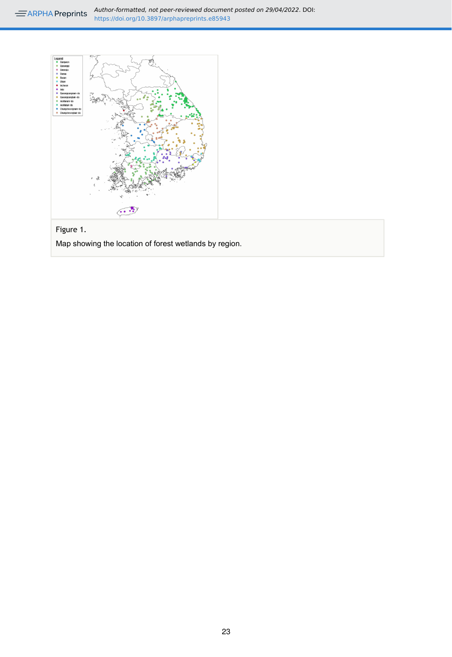<span id="page-23-0"></span>

## Figure 1.

Map showing the location of forest wetlands by region.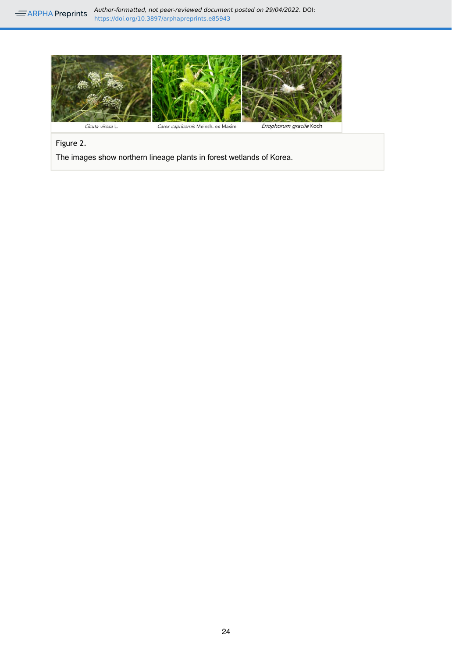<span id="page-24-0"></span>

Figure 2.

The images show northern lineage plants in forest wetlands of Korea.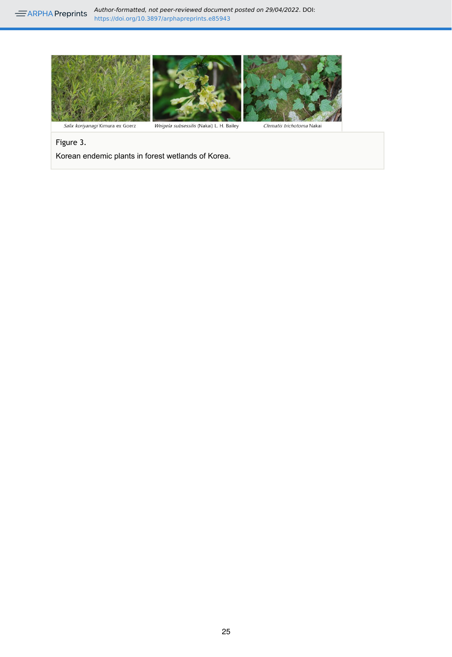<span id="page-25-0"></span>

Figure 3.

Korean endemic plants in forest wetlands of Korea.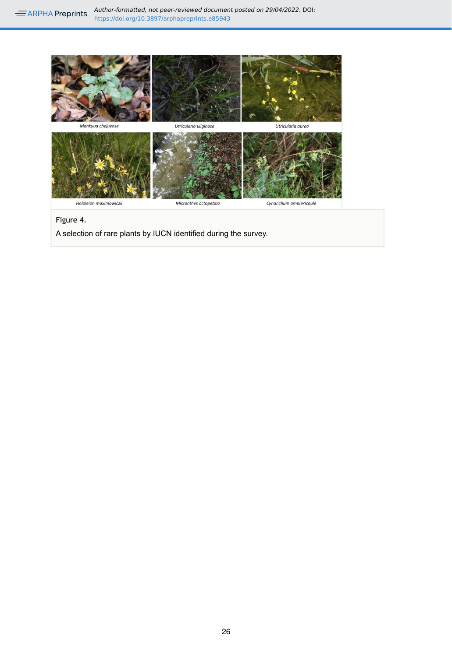<span id="page-26-0"></span>

#### Figure 4.

A selection of rare plants by IUCN identified during the survey.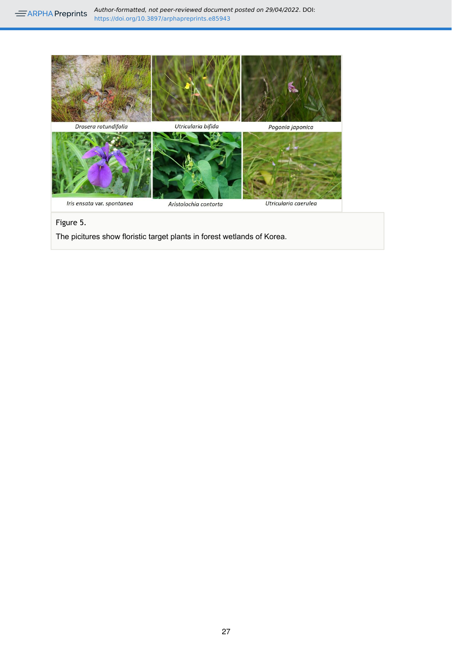<span id="page-27-0"></span>

Figure 5.

The picitures show floristic target plants in forest wetlands of Korea.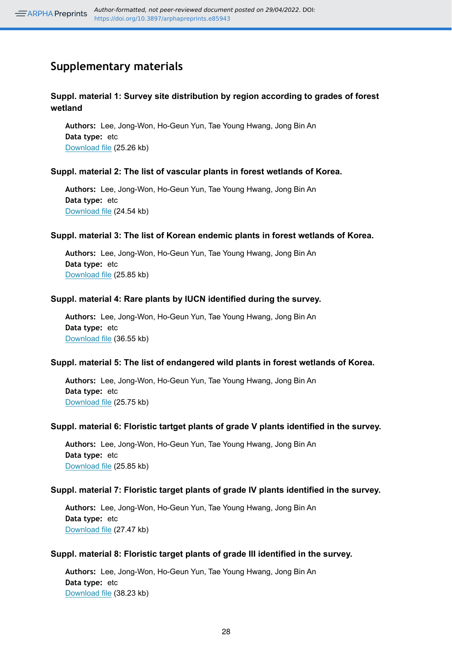# **Supplementary materials**

#### <span id="page-28-0"></span>**Suppl. material 1: Survey site distribution by region according to grades of forest wetland**

**Authors:** Lee, Jong-Won, Ho-Geun Yun, Tae Young Hwang, Jong Bin An **Data type:** etc [Download file](https://arpha.pensoft.net/getfile.php?filename=oo_667188.docx) (25.26 kb)

#### <span id="page-28-1"></span>**Suppl. material 2: The list of vascular plants in forest wetlands of Korea.**

**Authors:** Lee, Jong-Won, Ho-Geun Yun, Tae Young Hwang, Jong Bin An **Data type:** etc [Download file](https://arpha.pensoft.net/getfile.php?filename=oo_667190.docx) (24.54 kb)

#### <span id="page-28-2"></span>**Suppl. material 3: The list of Korean endemic plants in forest wetlands of Korea.**

**Authors:** Lee, Jong-Won, Ho-Geun Yun, Tae Young Hwang, Jong Bin An **Data type:** etc [Download file](https://arpha.pensoft.net/getfile.php?filename=oo_667194.docx) (25.85 kb)

#### <span id="page-28-3"></span>**Suppl. material 4: Rare plants by IUCN identified during the survey.**

**Authors:** Lee, Jong-Won, Ho-Geun Yun, Tae Young Hwang, Jong Bin An **Data type:** etc [Download file](https://arpha.pensoft.net/getfile.php?filename=oo_667192.docx) (36.55 kb)

#### <span id="page-28-4"></span>**Suppl. material 5: The list of endangered wild plants in forest wetlands of Korea.**

**Authors:** Lee, Jong-Won, Ho-Geun Yun, Tae Young Hwang, Jong Bin An **Data type:** etc [Download file](https://arpha.pensoft.net/getfile.php?filename=oo_667193.docx) (25.75 kb)

#### <span id="page-28-5"></span>**Suppl. material 6: Floristic tartget plants of grade V plants identified in the survey.**

**Authors:** Lee, Jong-Won, Ho-Geun Yun, Tae Young Hwang, Jong Bin An **Data type:** etc [Download file](https://arpha.pensoft.net/getfile.php?filename=oo_667195.docx) (25.85 kb)

#### <span id="page-28-6"></span>**Suppl. material 7: Floristic target plants of grade IV plants identified in the survey.**

**Authors:** Lee, Jong-Won, Ho-Geun Yun, Tae Young Hwang, Jong Bin An **Data type:** etc [Download file](https://arpha.pensoft.net/getfile.php?filename=oo_667198.docx) (27.47 kb)

#### <span id="page-28-7"></span>**Suppl. material 8: Floristic target plants of grade III identified in the survey.**

**Authors:** Lee, Jong-Won, Ho-Geun Yun, Tae Young Hwang, Jong Bin An **Data type:** etc [Download file](https://arpha.pensoft.net/getfile.php?filename=oo_667197.docx) (38.23 kb)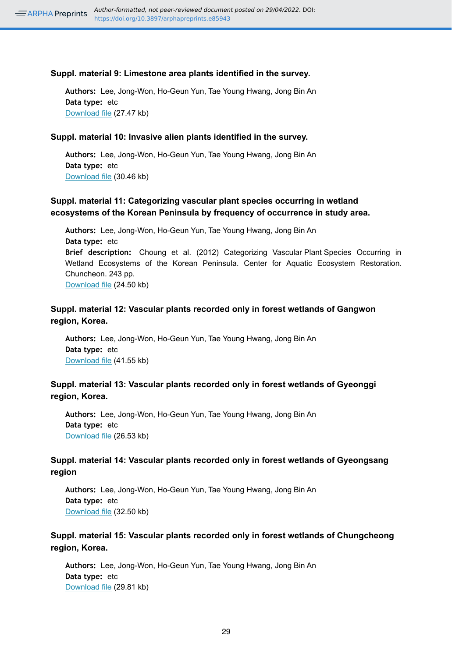#### <span id="page-29-0"></span>**Suppl. material 9: Limestone area plants identified in the survey.**

**Authors:** Lee, Jong-Won, Ho-Geun Yun, Tae Young Hwang, Jong Bin An **Data type:** etc [Download file](https://arpha.pensoft.net/getfile.php?filename=oo_667199.docx) (27.47 kb)

#### <span id="page-29-1"></span>**Suppl. material 10: Invasive alien plants identified in the survey.**

**Authors:** Lee, Jong-Won, Ho-Geun Yun, Tae Young Hwang, Jong Bin An **Data type:** etc [Download file](https://arpha.pensoft.net/getfile.php?filename=oo_667200.docx) (30.46 kb)

#### <span id="page-29-2"></span>**Suppl. material 11: Categorizing vascular plant species occurring in wetland ecosystems of the Korean Peninsula by frequency of occurrence in study area.**

**Authors:** Lee, Jong-Won, Ho-Geun Yun, Tae Young Hwang, Jong Bin An **Data type:** etc **Brief description:** Choung et al. (2012) Categorizing Vascular Plant Species Occurring in Wetland Ecosystems of the Korean Peninsula. Center for Aquatic Ecosystem Restoration. Chuncheon. 243 pp. [Download file](https://arpha.pensoft.net/getfile.php?filename=oo_667201.docx) (24.50 kb)

#### <span id="page-29-3"></span>**Suppl. material 12: Vascular plants recorded only in forest wetlands of Gangwon region, Korea.**

**Authors:** Lee, Jong-Won, Ho-Geun Yun, Tae Young Hwang, Jong Bin An **Data type:** etc [Download file](https://arpha.pensoft.net/getfile.php?filename=oo_667202.docx) (41.55 kb)

#### <span id="page-29-5"></span>**Suppl. material 13: Vascular plants recorded only in forest wetlands of Gyeonggi region, Korea.**

**Authors:** Lee, Jong-Won, Ho-Geun Yun, Tae Young Hwang, Jong Bin An **Data type:** etc [Download file](https://arpha.pensoft.net/getfile.php?filename=oo_667203.docx) (26.53 kb)

#### <span id="page-29-4"></span>**Suppl. material 14: Vascular plants recorded only in forest wetlands of Gyeongsang region**

**Authors:** Lee, Jong-Won, Ho-Geun Yun, Tae Young Hwang, Jong Bin An **Data type:** etc [Download file](https://arpha.pensoft.net/getfile.php?filename=oo_667204.docx) (32.50 kb)

#### <span id="page-29-6"></span>**Suppl. material 15: Vascular plants recorded only in forest wetlands of Chungcheong region, Korea.**

**Authors:** Lee, Jong-Won, Ho-Geun Yun, Tae Young Hwang, Jong Bin An **Data type:** etc [Download file](https://arpha.pensoft.net/getfile.php?filename=oo_667206.docx) (29.81 kb)